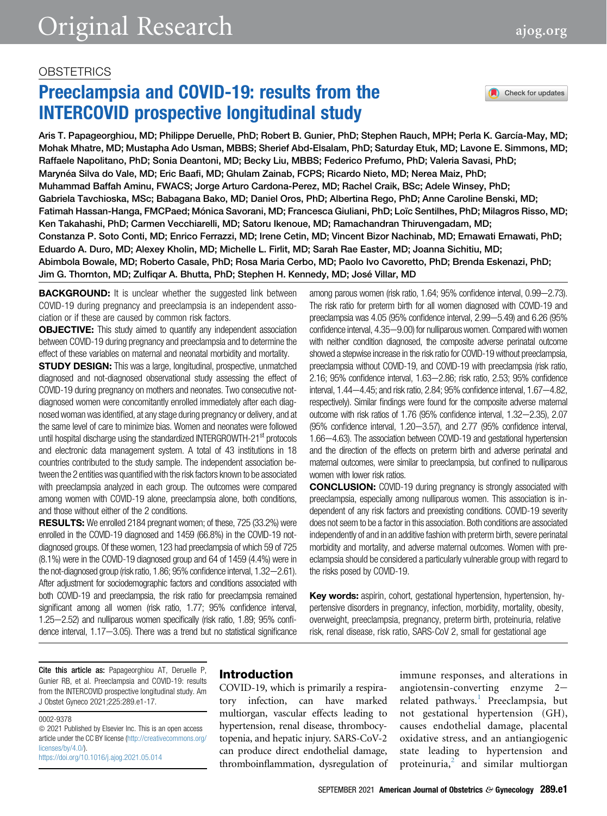# **OBSTETRICS**

# Preeclampsia and COVID-19: results from the INTERCOVID prospective longitudinal study

Aris T. Papageorghiou, MD; Philippe Deruelle, PhD; Robert B. Gunier, PhD; Stephen Rauch, MPH; Perla K. García-May, MD; Mohak Mhatre, MD; Mustapha Ado Usman, MBBS; Sherief Abd-Elsalam, PhD; Saturday Etuk, MD; Lavone E. Simmons, MD; Raffaele Napolitano, PhD; Sonia Deantoni, MD; Becky Liu, MBBS; Federico Prefumo, PhD; Valeria Savasi, PhD; Marynéa Silva do Vale, MD; Eric Baafi, MD; Ghulam Zainab, FCPS; Ricardo Nieto, MD; Nerea Maiz, PhD; Muhammad Baffah Aminu, FWACS; Jorge Arturo Cardona-Perez, MD; Rachel Craik, BSc; Adele Winsey, PhD; Gabriela Tavchioska, MSc; Babagana Bako, MD; Daniel Oros, PhD; Albertina Rego, PhD; Anne Caroline Benski, MD; Fatimah Hassan-Hanga, FMCPaed; Mónica Savorani, MD; Francesca Giuliani, PhD; Loïc Sentilhes, PhD; Milagros Risso, MD; Ken Takahashi, PhD; Carmen Vecchiarelli, MD; Satoru Ikenoue, MD; Ramachandran Thiruvengadam, MD; Constanza P. Soto Conti, MD; Enrico Ferrazzi, MD; Irene Cetin, MD; Vincent Bizor Nachinab, MD; Ernawati Ernawati, PhD; Eduardo A. Duro, MD; Alexey Kholin, MD; Michelle L. Firlit, MD; Sarah Rae Easter, MD; Joanna Sichitiu, MD; Abimbola Bowale, MD; Roberto Casale, PhD; Rosa Maria Cerbo, MD; Paolo Ivo Cavoretto, PhD; Brenda Eskenazi, PhD; Jim G. Thornton, MD; Zulfiqar A. Bhutta, PhD; Stephen H. Kennedy, MD; José Villar, MD

**BACKGROUND:** It is unclear whether the suggested link between COVID-19 during pregnancy and preeclampsia is an independent association or if these are caused by common risk factors.

**OBJECTIVE:** This study aimed to quantify any independent association between COVID-19 during pregnancy and preeclampsia and to determine the effect of these variables on maternal and neonatal morbidity and mortality.

**STUDY DESIGN:** This was a large, longitudinal, prospective, unmatched diagnosed and not-diagnosed observational study assessing the effect of COVID-19 during pregnancy on mothers and neonates. Two consecutive notdiagnosed women were concomitantly enrolled immediately after each diagnosed woman was identified, at any stage during pregnancy or delivery, and at the same level of care to minimize bias. Women and neonates were followed until hospital discharge using the standardized INTERGROWTH-21<sup>st</sup> protocols and electronic data management system. A total of 43 institutions in 18 countries contributed to the study sample. The independent association between the 2 entities was quantified with the risk factors known to be associated with preeclampsia analyzed in each group. The outcomes were compared among women with COVID-19 alone, preeclampsia alone, both conditions, and those without either of the 2 conditions.

**RESULTS:** We enrolled 2184 pregnant women; of these, 725 (33.2%) were enrolled in the COVID-19 diagnosed and 1459 (66.8%) in the COVID-19 notdiagnosed groups. Of these women, 123 had preeclampsia of which 59 of 725 (8.1%) were in the COVID-19 diagnosed group and 64 of 1459 (4.4%) were in the not-diagnosed group (risk ratio,  $1.86$ ;  $95\%$  confidence interval,  $1.32-2.61$ ). After adjustment for sociodemographic factors and conditions associated with both COVID-19 and preeclampsia, the risk ratio for preeclampsia remained significant among all women (risk ratio, 1.77; 95% confidence interval, 1.25–2.52) and nulliparous women specifically (risk ratio, 1.89; 95% confidence interval,  $1.17-3.05$ ). There was a trend but no statistical significance among parous women (risk ratio, 1.64; 95% confidence interval, 0.99-2.73). The risk ratio for preterm birth for all women diagnosed with COVID-19 and preeclampsia was  $4.05$  (95% confidence interval,  $2.99-5.49$ ) and  $6.26$  (95% confidence interval, 4.35-9.00) for nulliparous women. Compared with women with neither condition diagnosed, the composite adverse perinatal outcome showed a stepwise increase in the risk ratio for COVID-19 without preeclampsia, preeclampsia without COVID-19, and COVID-19 with preeclampsia (risk ratio, 2.16; 95% confidence interval, 1.63-2.86; risk ratio, 2.53; 95% confidence interval,  $1.44-4.45$ ; and risk ratio,  $2.84$ ; 95% confidence interval,  $1.67-4.82$ , respectively). Similar findings were found for the composite adverse maternal outcome with risk ratios of 1.76 (95% confidence interval, 1.32-2.35), 2.07  $(95\%$  confidence interval, 1.20-3.57), and 2.77  $(95\%$  confidence interval, 1.66-4.63). The association between COVID-19 and gestational hypertension and the direction of the effects on preterm birth and adverse perinatal and maternal outcomes, were similar to preeclampsia, but confined to nulliparous women with lower risk ratios.

CONCLUSION: COVID-19 during pregnancy is strongly associated with preeclampsia, especially among nulliparous women. This association is independent of any risk factors and preexisting conditions. COVID-19 severity does not seem to be a factor in this association. Both conditions are associated independently of and in an additive fashion with preterm birth, severe perinatal morbidity and mortality, and adverse maternal outcomes. Women with preeclampsia should be considered a particularly vulnerable group with regard to the risks posed by COVID-19.

Key words: aspirin, cohort, gestational hypertension, hypertension, hypertensive disorders in pregnancy, infection, morbidity, mortality, obesity, overweight, preeclampsia, pregnancy, preterm birth, proteinuria, relative risk, renal disease, risk ratio, SARS-CoV 2, small for gestational age

Cite this article as: Papageorghiou AT, Deruelle P, Gunier RB, et al. Preeclampsia and COVID-19: results from the INTERCOVID prospective longitudinal study. Am J Obstet Gyneco 2021;225:289.e1-17.

0002-9378

 $© 2021$  Published by Elsevier Inc. This is an open access article under the CC BY license ([http://creativecommons.org/](http://creativecommons.org/licenses/by/4.0/) [licenses/by/4.0/\)](http://creativecommons.org/licenses/by/4.0/). <https://doi.org/10.1016/j.ajog.2021.05.014>

# Introduction

COVID-19, which is primarily a respiratory infection, can have marked multiorgan, vascular effects leading to hypertension, renal disease, thrombocytopenia, and hepatic injury. SARS-CoV-2 can produce direct endothelial damage, thromboinflammation, dysregulation of

immune responses, and alterations in angiotensin-converting enzyme  $2-$ related pathways.<sup>[1](#page-9-0)</sup> Preeclampsia, but not gestational hypertension (GH), causes endothelial damage, placental oxidative stress, and an antiangiogenic state leading to hypertension and proteinuria, $\lambda$  and similar multiorgan

Check for updates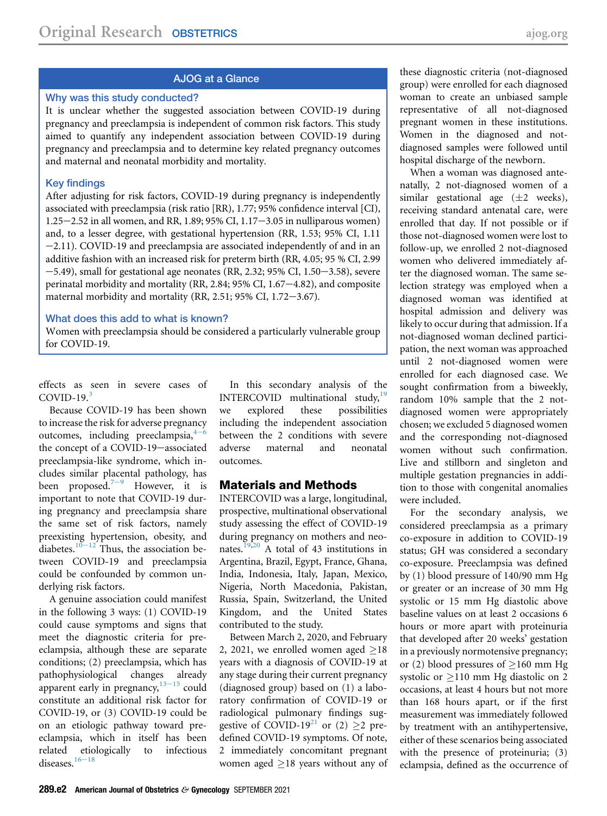## AJOG at a Glance

#### Why was this study conducted?

It is unclear whether the suggested association between COVID-19 during pregnancy and preeclampsia is independent of common risk factors. This study aimed to quantify any independent association between COVID-19 during pregnancy and preeclampsia and to determine key related pregnancy outcomes and maternal and neonatal morbidity and mortality.

#### Key findings

After adjusting for risk factors, COVID-19 during pregnancy is independently associated with preeclampsia (risk ratio [RR), 1.77; 95% confidence interval [CI),  $1.25 - 2.52$  in all women, and RR, 1.89; 95% CI, 1.17 $-3.05$  in nulliparous women) and, to a lesser degree, with gestational hypertension (RR, 1.53; 95% CI, 1.11  $-2.11$ ). COVID-19 and preeclampsia are associated independently of and in an additive fashion with an increased risk for preterm birth (RR, 4.05; 95 % CI, 2.99  $-5.49$ ), small for gestational age neonates (RR, 2.32; 95% CI, 1.50 $-3.58$ ), severe perinatal morbidity and mortality (RR, 2.84; 95% CI, 1.67 $-4.82$ ), and composite maternal morbidity and mortality (RR, 2.51; 95% CI,  $1.72-3.67$ ).

#### What does this add to what is known?

Women with preeclampsia should be considered a particularly vulnerable group for COVID-19.

effects as seen in severe cases of COVID-19. $3$ 

Because COVID-19 has been shown to increase the risk for adverse pregnancy outcom[e](#page-10-0)s, including preeclampsia, $4^{-6}$ the concept of a COVID-19-associated preeclampsia-like syndrome, which includes similar placental pathology, has b[e](#page-10-1)en proposed.<sup>7-9</sup> However, it is important to note that COVID-19 during pregnancy and preeclampsia share the same set of risk factors, namely preexisting hypertension, obesity, and diabetes.<sup>10–12</sup> Thus, the association between COVID-19 and preeclampsia could be confounded by common underlying risk factors.

A genuine association could manifest in the following 3 ways: (1) COVID-19 could cause symptoms and signs that meet the diagnostic criteria for preeclampsia, although these are separate conditions; (2) preeclampsia, which has pathophysiological chang[es a](#page-10-3)lready apparent early in pregnancy, $13-15$  could constitute an additional risk factor for COVID-19, or (3) COVID-19 could be on an etiologic pathway toward preeclampsia, which in itself has been related [etio](#page-10-4)logically to infectious diseases. $16-18$ 

In this secondary analysis of the INTERCOVID multinational study, $19$ we explored these possibilities including the independent association between the 2 conditions with severe adverse maternal and neonatal outcomes.

#### Materials and Methods

INTERCOVID was a large, longitudinal, prospective, multinational observational study assessing the effect of COVID-19 during pregnancy on mothers and neo-nates.<sup>[19](#page-10-5),[20](#page-10-6)</sup> A total of 43 institutions in Argentina, Brazil, Egypt, France, Ghana, India, Indonesia, Italy, Japan, Mexico, Nigeria, North Macedonia, Pakistan, Russia, Spain, Switzerland, the United Kingdom, and the United States contributed to the study.

Between March 2, 2020, and February 2, 2021, we enrolled women aged  $\geq$ 18 years with a diagnosis of COVID-19 at any stage during their current pregnancy (diagnosed group) based on (1) a laboratory confirmation of COVID-19 or radiological pulmonary findings sug-gestive of COVID-19<sup>[21](#page-10-7)</sup> or (2)  $\geq$ 2 predefined COVID-19 symptoms. Of note, 2 immediately concomitant pregnant women aged  $\geq$ 18 years without any of

these diagnostic criteria (not-diagnosed group) were enrolled for each diagnosed woman to create an unbiased sample representative of all not-diagnosed pregnant women in these institutions. Women in the diagnosed and notdiagnosed samples were followed until hospital discharge of the newborn.

When a woman was diagnosed antenatally, 2 not-diagnosed women of a similar gestational age  $(\pm 2$  weeks), receiving standard antenatal care, were enrolled that day. If not possible or if those not-diagnosed women were lost to follow-up, we enrolled 2 not-diagnosed women who delivered immediately after the diagnosed woman. The same selection strategy was employed when a diagnosed woman was identified at hospital admission and delivery was likely to occur during that admission. If a not-diagnosed woman declined participation, the next woman was approached until 2 not-diagnosed women were enrolled for each diagnosed case. We sought confirmation from a biweekly, random 10% sample that the 2 notdiagnosed women were appropriately chosen; we excluded 5 diagnosed women and the corresponding not-diagnosed women without such confirmation. Live and stillborn and singleton and multiple gestation pregnancies in addition to those with congenital anomalies were included.

For the secondary analysis, we considered preeclampsia as a primary co-exposure in addition to COVID-19 status; GH was considered a secondary co-exposure. Preeclampsia was defined by (1) blood pressure of 140/90 mm Hg or greater or an increase of 30 mm Hg systolic or 15 mm Hg diastolic above baseline values on at least 2 occasions 6 hours or more apart with proteinuria that developed after 20 weeks' gestation in a previously normotensive pregnancy; or (2) blood pressures of  $\geq$ 160 mm Hg systolic or  $>110$  mm Hg diastolic on 2 occasions, at least 4 hours but not more than 168 hours apart, or if the first measurement was immediately followed by treatment with an antihypertensive, either of these scenarios being associated with the presence of proteinuria; (3) eclampsia, defined as the occurrence of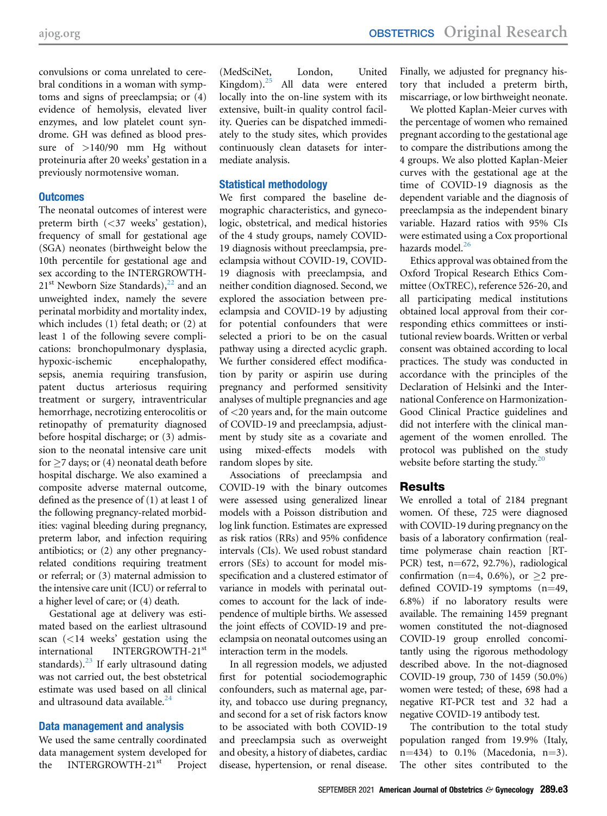convulsions or coma unrelated to cerebral conditions in a woman with symptoms and signs of preeclampsia; or (4) evidence of hemolysis, elevated liver enzymes, and low platelet count syndrome. GH was defined as blood pressure of >140/90 mm Hg without proteinuria after 20 weeks' gestation in a previously normotensive woman.

## **Outcomes**

The neonatal outcomes of interest were preterm birth (<37 weeks' gestation), frequency of small for gestational age (SGA) neonates (birthweight below the 10th percentile for gestational age and sex according to the INTERGROWTH- $21<sup>st</sup>$  Newborn Size Standards),<sup>[22](#page-10-8)</sup> and an unweighted index, namely the severe perinatal morbidity and mortality index, which includes (1) fetal death; or (2) at least 1 of the following severe complications: bronchopulmonary dysplasia, hypoxic-ischemic encephalopathy, sepsis, anemia requiring transfusion, patent ductus arteriosus requiring treatment or surgery, intraventricular hemorrhage, necrotizing enterocolitis or retinopathy of prematurity diagnosed before hospital discharge; or (3) admission to the neonatal intensive care unit for  $>$  7 days; or (4) neonatal death before hospital discharge. We also examined a composite adverse maternal outcome, defined as the presence of (1) at least 1 of the following pregnancy-related morbidities: vaginal bleeding during pregnancy, preterm labor, and infection requiring antibiotics; or (2) any other pregnancyrelated conditions requiring treatment or referral; or (3) maternal admission to the intensive care unit (ICU) or referral to a higher level of care; or (4) death.

Gestational age at delivery was estimated based on the earliest ultrasound scan  $\left($  < 14 weeks' gestation using the international INTERGROWTH-21st standards). $^{23}$  $^{23}$  $^{23}$  If early ultrasound dating was not carried out, the best obstetrical estimate was used based on all clinical and ultrasound data available.<sup>[24](#page-10-10)</sup>

#### Data management and analysis

We used the same centrally coordinated data management system developed for the INTERGROWTH-21<sup>st</sup> Project

(MedSciNet, London, United Kingdom).<sup>25</sup> All data were entered All data were entered locally into the on-line system with its extensive, built-in quality control facility. Queries can be dispatched immediately to the study sites, which provides continuously clean datasets for intermediate analysis.

## Statistical methodology

We first compared the baseline demographic characteristics, and gynecologic, obstetrical, and medical histories of the 4 study groups, namely COVID-19 diagnosis without preeclampsia, preeclampsia without COVID-19, COVID-19 diagnosis with preeclampsia, and neither condition diagnosed. Second, we explored the association between preeclampsia and COVID-19 by adjusting for potential confounders that were selected a priori to be on the casual pathway using a directed acyclic graph. We further considered effect modification by parity or aspirin use during pregnancy and performed sensitivity analyses of multiple pregnancies and age of <20 years and, for the main outcome of COVID-19 and preeclampsia, adjustment by study site as a covariate and using mixed-effects models with random slopes by site.

Associations of preeclampsia and COVID-19 with the binary outcomes were assessed using generalized linear models with a Poisson distribution and log link function. Estimates are expressed as risk ratios (RRs) and 95% confidence intervals (CIs). We used robust standard errors (SEs) to account for model misspecification and a clustered estimator of variance in models with perinatal outcomes to account for the lack of independence of multiple births. We assessed the joint effects of COVID-19 and preeclampsia on neonatal outcomes using an interaction term in the models.

In all regression models, we adjusted first for potential sociodemographic confounders, such as maternal age, parity, and tobacco use during pregnancy, and second for a set of risk factors know to be associated with both COVID-19 and preeclampsia such as overweight and obesity, a history of diabetes, cardiac disease, hypertension, or renal disease.

Finally, we adjusted for pregnancy history that included a preterm birth, miscarriage, or low birthweight neonate.

We plotted Kaplan-Meier curves with the percentage of women who remained pregnant according to the gestational age to compare the distributions among the 4 groups. We also plotted Kaplan-Meier curves with the gestational age at the time of COVID-19 diagnosis as the dependent variable and the diagnosis of preeclampsia as the independent binary variable. Hazard ratios with 95% CIs were estimated using a Cox proportional hazards model. $26$ 

Ethics approval was obtained from the Oxford Tropical Research Ethics Committee (OxTREC), reference 526-20, and all participating medical institutions obtained local approval from their corresponding ethics committees or institutional review boards. Written or verbal consent was obtained according to local practices. The study was conducted in accordance with the principles of the Declaration of Helsinki and the International Conference on Harmonization-Good Clinical Practice guidelines and did not interfere with the clinical management of the women enrolled. The protocol was published on the study website before starting the study. $20$ 

## Results

We enrolled a total of 2184 pregnant women. Of these, 725 were diagnosed with COVID-19 during pregnancy on the basis of a laboratory confirmation (realtime polymerase chain reaction [RT-PCR) test, n=672, 92.7%), radiological confirmation (n=4, 0.6%), or  $\geq$  predefined COVID-19 symptoms  $(n=49, 49)$ 6.8%) if no laboratory results were available. The remaining 1459 pregnant women constituted the not-diagnosed COVID-19 group enrolled concomitantly using the rigorous methodology described above. In the not-diagnosed COVID-19 group, 730 of 1459 (50.0%) women were tested; of these, 698 had a negative RT-PCR test and 32 had a negative COVID-19 antibody test.

The contribution to the total study population ranged from 19.9% (Italy,  $n=434$ ) to 0.1% (Macedonia,  $n=3$ ). The other sites contributed to the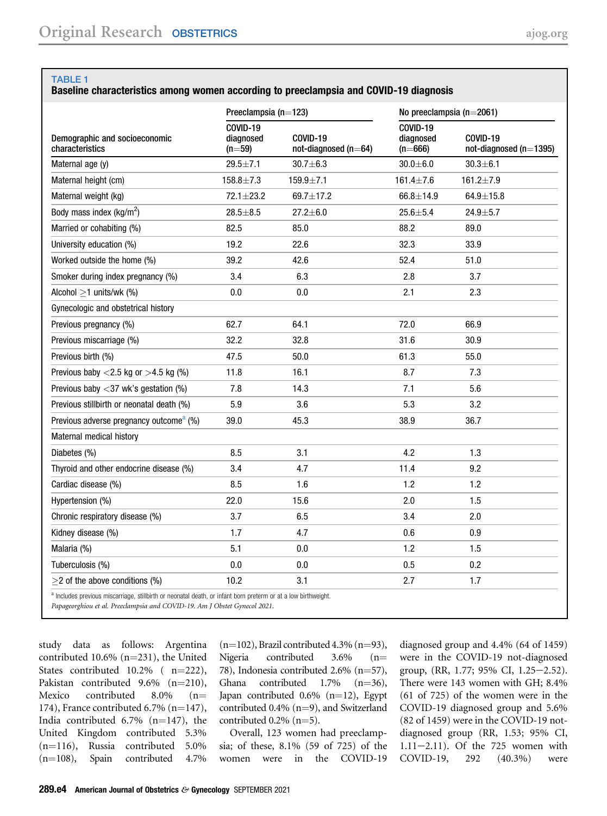## <span id="page-3-1"></span>Baseline characteristics among women according to preeclampsia and COVID-19 diagnosis

|                                                     | Preeclampsia ( $n=123$ )                                                                                       |                                  |                                    | No preeclampsia (n=2061)           |  |  |
|-----------------------------------------------------|----------------------------------------------------------------------------------------------------------------|----------------------------------|------------------------------------|------------------------------------|--|--|
| Demographic and socioeconomic<br>characteristics    | COVID-19<br>diagnosed<br>$(n=59)$                                                                              | COVID-19<br>not-diagnosed (n=64) | COVID-19<br>diagnosed<br>$(n=666)$ | COVID-19<br>not-diagnosed (n=1395) |  |  |
| Maternal age (y)                                    | $29.5 \pm 7.1$                                                                                                 | $30.7 + 6.3$                     | $30.0 + 6.0$                       | $30.3 + 6.1$                       |  |  |
| Maternal height (cm)                                | $158.8 + 7.3$                                                                                                  | $159.9 \pm 7.1$                  | $161.4 \pm 7.6$                    | $161.2 \pm 7.9$                    |  |  |
| Maternal weight (kg)                                | $72.1 \pm 23.2$                                                                                                | $69.7 \pm 17.2$                  | $66.8 \pm 14.9$                    | $64.9 \pm 15.8$                    |  |  |
| Body mass index $(kg/m^2)$                          | $28.5 + 8.5$                                                                                                   | $27.2 \pm 6.0$                   | $25.6 + 5.4$                       | $24.9 + 5.7$                       |  |  |
| Married or cohabiting (%)                           | 82.5                                                                                                           | 85.0                             | 88.2                               | 89.0                               |  |  |
| University education (%)                            | 19.2                                                                                                           | 22.6                             | 32.3                               | 33.9                               |  |  |
| Worked outside the home (%)                         | 39.2                                                                                                           | 42.6                             | 52.4                               | 51.0                               |  |  |
| Smoker during index pregnancy (%)                   | 3.4                                                                                                            | 6.3                              | 2.8                                | 3.7                                |  |  |
| Alcohol $\geq$ 1 units/wk (%)                       | 0.0                                                                                                            | 0.0                              | 2.1                                | 2.3                                |  |  |
| Gynecologic and obstetrical history                 |                                                                                                                |                                  |                                    |                                    |  |  |
| Previous pregnancy (%)                              | 62.7                                                                                                           | 64.1                             | 72.0                               | 66.9                               |  |  |
| Previous miscarriage (%)                            | 32.2                                                                                                           | 32.8                             | 31.6                               | 30.9                               |  |  |
| Previous birth (%)                                  | 47.5                                                                                                           | 50.0                             | 61.3                               | 55.0                               |  |  |
| Previous baby $<$ 2.5 kg or $>$ 4.5 kg (%)          | 11.8                                                                                                           | 16.1                             | 8.7                                | 7.3                                |  |  |
| Previous baby $<$ 37 wk's gestation (%)             | 7.8                                                                                                            | 14.3                             | 7.1                                | 5.6                                |  |  |
| Previous stillbirth or neonatal death (%)           | 5.9                                                                                                            | 3.6                              | 5.3                                | 3.2                                |  |  |
| Previous adverse pregnancy outcome <sup>a</sup> (%) | 39.0                                                                                                           | 45.3                             | 38.9                               | 36.7                               |  |  |
| Maternal medical history                            |                                                                                                                |                                  |                                    |                                    |  |  |
| Diabetes (%)                                        | 8.5                                                                                                            | 3.1                              | 4.2                                | 1.3                                |  |  |
| Thyroid and other endocrine disease (%)             | 3.4                                                                                                            | 4.7                              | 11.4                               | 9.2                                |  |  |
| Cardiac disease (%)                                 | 8.5                                                                                                            | 1.6                              | 1.2                                | 1.2                                |  |  |
| Hypertension (%)                                    | 22.0                                                                                                           | 15.6                             | 2.0                                | 1.5                                |  |  |
| Chronic respiratory disease (%)                     | 3.7                                                                                                            | 6.5                              | 3.4                                | 2.0                                |  |  |
| Kidney disease (%)                                  | 1.7                                                                                                            | 4.7                              | 0.6                                | 0.9                                |  |  |
| Malaria (%)                                         | 5.1                                                                                                            | 0.0                              | 1.2                                | 1.5                                |  |  |
| Tuberculosis (%)                                    | 0.0                                                                                                            | 0.0                              | $0.5\,$                            | 0.2                                |  |  |
| $\geq$ 2 of the above conditions (%)                | 10.2                                                                                                           | 3.1                              | 2.7                                | 1.7                                |  |  |
|                                                     | a Includes previous miscarriage, stillbirth or neonatal death, or infant born preterm or at a low birthweight. |                                  |                                    |                                    |  |  |

<span id="page-3-0"></span>Papageorghiou et al. Preeclampsia and COVID-19. Am J Obstet Gynecol 2021.

study data as follows: Argentina contributed  $10.6\%$  (n=231), the United States contributed  $10.2\%$  ( $n=222$ ), Pakistan contributed  $9.6\%$  (n=210),<br>Mexico contributed  $8.0\%$  (n= contributed 174), France contributed 6.7% (n=147), India contributed  $6.7\%$  (n=147), the United Kingdom contributed 5.3%  $(n=116)$ , Russia contributed 5.0%<br> $(n=108)$ , Spain contributed 4.7% contributed

(n=102), Brazil contributed 4.3% (n=93),<br>Nigeria contributed 3.6% (n= contributed 78), Indonesia contributed 2.6% (n=57),<br>Ghana contributed 1.7% (n=36), Ghana contributed 1.7% Japan contributed  $0.6\%$  (n=12), Egypt contributed 0.4% ( $n=9$ ), and Switzerland contributed  $0.2\%$  (n=5).

Overall, 123 women had preeclampsia; of these, 8.1% (59 of 725) of the women were in the COVID-19

diagnosed group and 4.4% (64 of 1459) were in the COVID-19 not-diagnosed group, (RR, 1.77; 95% CI, 1.25-2.52). There were 143 women with GH; 8.4% (61 of 725) of the women were in the COVID-19 diagnosed group and 5.6% (82 of 1459) were in the COVID-19 notdiagnosed group (RR, 1.53; 95% CI, 1.11-2.11). Of the 725 women with COVID-19, 292 (40.3%) were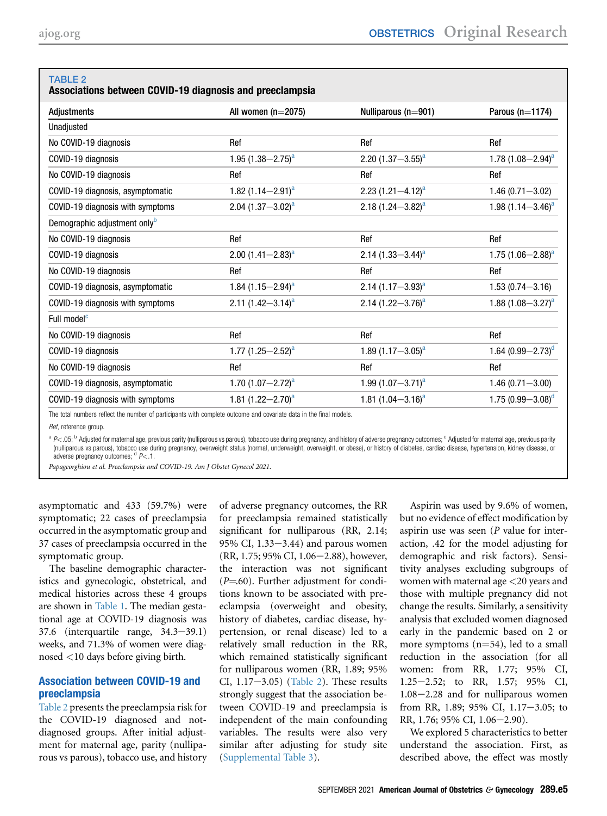<span id="page-4-0"></span>

| Adjustments                              | All women ( $n=2075$ )            | Nulliparous ( $n=901$ )  | Parous ( $n=1174$ )               |
|------------------------------------------|-----------------------------------|--------------------------|-----------------------------------|
| Unadjusted                               |                                   |                          |                                   |
| No COVID-19 diagnosis                    | Ref                               | Ref                      | Ref                               |
| COVID-19 diagnosis                       | 1.95 $(1.38 - 2.75)^a$            | 2.20 $(1.37 - 3.55)^a$   | 1.78 $(1.08 - 2.94)^a$            |
| No COVID-19 diagnosis                    | Ref                               | Ref                      | Ref                               |
| COVID-19 diagnosis, asymptomatic         | 1.82 $(1.14 - 2.91)^a$            | 2.23 $(1.21 - 4.12)^a$   | $1.46(0.71 - 3.02)$               |
| COVID-19 diagnosis with symptoms         | $2.04$ (1.37 - 3.02) <sup>a</sup> | 2.18 $(1.24 - 3.82)^a$   | 1.98 $(1.14 - 3.46)^a$            |
| Demographic adjustment only <sup>b</sup> |                                   |                          |                                   |
| No COVID-19 diagnosis                    | Ref                               | Ref                      | Ref                               |
| COVID-19 diagnosis                       | 2.00 $(1.41 - 2.83)^{a}$          | 2.14 $(1.33 - 3.44)^a$   | 1.75 $(1.06 - 2.88)^a$            |
| No COVID-19 diagnosis                    | Ref                               | Ref                      | Ref                               |
| COVID-19 diagnosis, asymptomatic         | 1.84 $(1.15 - 2.94)^a$            | 2.14 $(1.17 - 3.93)^{a}$ | $1.53(0.74 - 3.16)$               |
| COVID-19 diagnosis with symptoms         | 2.11 $(1.42 - 3.14)^a$            | 2.14 $(1.22 - 3.76)^a$   | 1.88 $(1.08 - 3.27)^a$            |
| Full model <sup>c</sup>                  |                                   |                          |                                   |
| No COVID-19 diagnosis                    | Ref                               | Ref                      | Ref                               |
| COVID-19 diagnosis                       | 1.77 $(1.25 - 2.52)^a$            | 1.89 $(1.17 - 3.05)^{a}$ | 1.64 $(0.99 - 2.73)$ <sup>d</sup> |
| No COVID-19 diagnosis                    | Ref                               | Ref                      | Ref                               |
| COVID-19 diagnosis, asymptomatic         | 1.70 $(1.07 - 2.72)^a$            | 1.99 $(1.07 - 3.71)^a$   | $1.46(0.71 - 3.00)$               |
| COVID-19 diagnosis with symptoms         | 1.81 $(1.22 - 2.70)^a$            | 1.81 $(1.04 - 3.16)^a$   | 1.75 $(0.99 - 3.08)^d$            |

The total numbers reflect the number of participants with complete outcome and covariate data in the final models.

Ref, reference group.

<span id="page-4-1"></span> $^{\text{a}}$  P<.05;  $^{\text{b}}$  Adjusted for maternal age, previous parity (nulliparous vs parous), tobacco use during pregnancy, and history of adverse pregnancy outcomes;  $^{\text{c}}$  Adjusted for maternal age, previous parity (nulliparous vs parous), tobacco use during pregnancy, overweight status (normal, underweight, overweight, or obese), or history of diabetes, cardiac disease, hypertension, kidney disease, or adverse pregnancy outcomes;  $d$   $P$ <.1.

<span id="page-4-2"></span>Papageorghiou et al. Preeclampsia and COVID-19. Am J Obstet Gynecol 2021.

asymptomatic and 433 (59.7%) were symptomatic; 22 cases of preeclampsia occurred in the asymptomatic group and 37 cases of preeclampsia occurred in the symptomatic group.

The baseline demographic characteristics and gynecologic, obstetrical, and medical histories across these 4 groups are shown in [Table 1](#page-3-1). The median gestational age at COVID-19 diagnosis was 37.6 (interquartile range,  $34.3-39.1$ ) weeks, and 71.3% of women were diagnosed <10 days before giving birth.

## Association between COVID-19 and preeclampsia

[Table 2](#page-4-0) presents the preeclampsia risk for the COVID-19 diagnosed and notdiagnosed groups. After initial adjustment for maternal age, parity (nulliparous vs parous), tobacco use, and history of adverse pregnancy outcomes, the RR for preeclampsia remained statistically significant for nulliparous (RR, 2.14; 95% CI,  $1.33 - 3.44$ ) and parous women  $(RR, 1.75; 95\% CI, 1.06-2.88)$ , however, the interaction was not significant  $(P=60)$ . Further adjustment for conditions known to be associated with preeclampsia (overweight and obesity, history of diabetes, cardiac disease, hypertension, or renal disease) led to a relatively small reduction in the RR, which remained statistically significant for nulliparous women (RR, 1.89; 95% CI,  $1.17-3.05$ ) ([Table 2\)](#page-4-0). These results strongly suggest that the association between COVID-19 and preeclampsia is independent of the main confounding variables. The results were also very similar after adjusting for study site ([Supplemental Table 3\)](#page-16-0).

Aspirin was used by 9.6% of women, but no evidence of effect modification by aspirin use was seen (P value for interaction, .42 for the model adjusting for demographic and risk factors). Sensitivity analyses excluding subgroups of women with maternal age <20 years and those with multiple pregnancy did not change the results. Similarly, a sensitivity analysis that excluded women diagnosed early in the pandemic based on 2 or more symptoms  $(n=54)$ , led to a small reduction in the association (for all women: from RR, 1.77; 95% CI, 1.25–2.52; to RR, 1.57; 95% CI,  $1.08 - 2.28$  and for nulliparous women from RR, 1.89; 95% CI, 1.17-3.05; to RR,  $1.76$ ;  $95\%$  CI,  $1.06-2.90$ ).

We explored 5 characteristics to better understand the association. First, as described above, the effect was mostly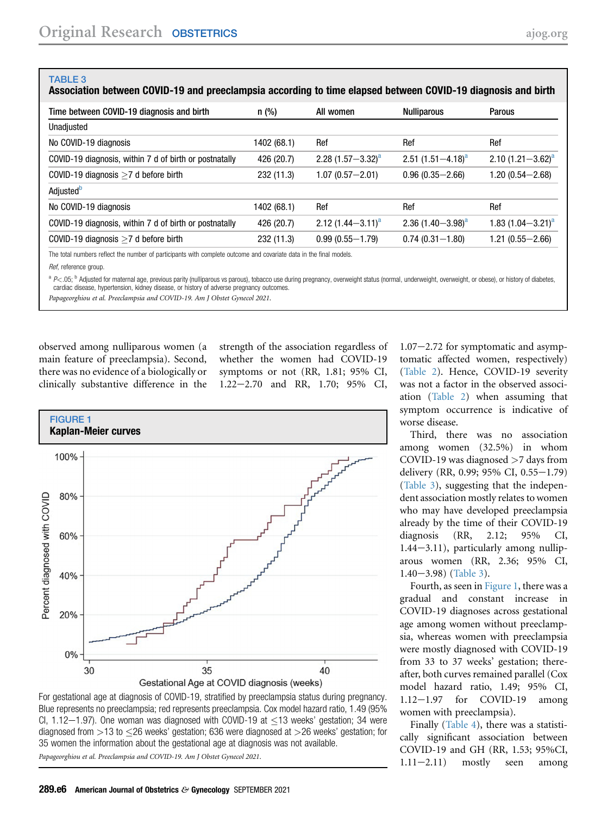| Time between COVID-19 diagnosis and birth              | $n$ (%)     | All women              | <b>Nulliparous</b>              | <b>Parous</b>          |
|--------------------------------------------------------|-------------|------------------------|---------------------------------|------------------------|
| Unadjusted                                             |             |                        |                                 |                        |
| No COVID-19 diagnosis                                  | 1402 (68.1) | Ref                    | Ref                             | Ref                    |
| COVID-19 diagnosis, within 7 d of birth or postnatally | 426 (20.7)  | 2.28 $(1.57 - 3.32)^a$ | $2.51$ (1.51-4.18) <sup>a</sup> | $2.10(1.21 - 3.62)^a$  |
| COVID-19 diagnosis $>7$ d before birth                 | 232 (11.3)  | $1.07(0.57 - 2.01)$    | $0.96(0.35 - 2.66)$             | $1.20(0.54 - 2.68)$    |
| Adjustedb                                              |             |                        |                                 |                        |
| No COVID-19 diagnosis                                  | 1402 (68.1) | Ref                    | Ref                             | Ref                    |
| COVID-19 diagnosis, within 7 d of birth or postnatally | 426 (20.7)  | 2.12 $(1.44 - 3.11)^a$ | 2.36 $(1.40 - 3.98)^a$          | 1.83 $(1.04 - 3.21)^a$ |
| COVID-19 diagnosis $>7$ d before birth                 | 232 (11.3)  | $0.99(0.55 - 1.79)$    | $0.74(0.31 - 1.80)$             | 1.21 (0.55-2.66)       |

## Association between COVID-19 and preeclampsia according to time elapsed between COVID-19 diagnosis and birth

The total numbers reflect the number of participants with complete outcome and covariate data in the final models.

Ref, reference group.

<span id="page-5-0"></span>TABLE 3

<span id="page-5-2"></span><sup>a</sup> P<.05; <sup>b</sup> Adjusted for maternal age, previous parity (nulliparous vs parous), tobacco use during pregnancy, overweight status (normal, underweight, overweight, or obese), or history of diabetes, cardiac disease, hypertension, kidney disease, or history of adverse pregnancy outcomes.

Papageorghiou et al. Preeclampsia and COVID-19. Am J Obstet Gynecol 2021.

observed among nulliparous women (a main feature of preeclampsia). Second, there was no evidence of a biologically or clinically substantive difference in the strength of the association regardless of whether the women had COVID-19 symptoms or not (RR, 1.81; 95% CI, 1.22-2.70 and RR, 1.70; 95% CI,

<span id="page-5-1"></span>



 $1.07 - 2.72$  for symptomatic and asymptomatic affected women, respectively) [\(Table 2\)](#page-4-0). Hence, COVID-19 severity was not a factor in the observed association ([Table 2](#page-4-0)) when assuming that symptom occurrence is indicative of worse disease.

Third, there was no association among women (32.5%) in whom COVID-19 was diagnosed >7 days from delivery (RR, 0.99; 95% CI, 0.55 $-1.79$ ) [\(Table 3](#page-5-0)), suggesting that the independent association mostly relates to women who may have developed preeclampsia already by the time of their COVID-19 diagnosis (RR, 2.12; 95% CI,  $1.44 - 3.11$ ), particularly among nulliparous women (RR, 2.36; 95% CI,  $1.40 - 3.98$ ) ([Table 3](#page-5-0)).

Fourth, as seen in [Figure 1,](#page-5-1) there was a gradual and constant increase in COVID-19 diagnoses across gestational age among women without preeclampsia, whereas women with preeclampsia were mostly diagnosed with COVID-19 from 33 to 37 weeks' gestation; thereafter, both curves remained parallel (Cox model hazard ratio, 1.49; 95% CI,  $1.12-1.97$  for COVID-19 among women with preeclampsia).

Finally ([Table 4](#page-6-0)), there was a statistically significant association between COVID-19 and GH (RR, 1.53; 95%CI,  $1.11-2.11$ ) mostly seen among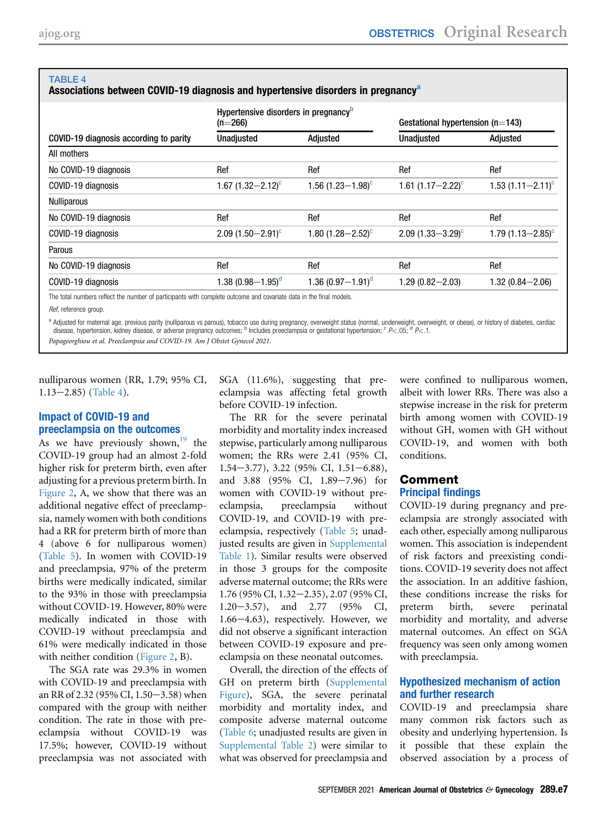<span id="page-6-0"></span>

|                                                                                                                    | Hypertensive disorders in pregnancy <sup>b</sup><br>(n=266) |                        | Gestational hypertension $(n=143)$ |                        |
|--------------------------------------------------------------------------------------------------------------------|-------------------------------------------------------------|------------------------|------------------------------------|------------------------|
| COVID-19 diagnosis according to parity                                                                             | Unadjusted                                                  | Adjusted               | <b>Unadjusted</b>                  | Adjusted               |
| All mothers                                                                                                        |                                                             |                        |                                    |                        |
| No COVID-19 diagnosis                                                                                              | Ref                                                         | Ref                    | Ref                                | Ref                    |
| COVID-19 diagnosis                                                                                                 | $1.67$ (1.32-2.12) <sup>c</sup>                             | 1.56 $(1.23 - 1.98)^c$ | 1.61 $(1.17-2.22)^{c}$             | 1.53 $(1.11 - 2.11)^c$ |
| <b>Nulliparous</b>                                                                                                 |                                                             |                        |                                    |                        |
| No COVID-19 diagnosis                                                                                              | Ref                                                         | Ref                    | Ref                                | Ref                    |
| COVID-19 diagnosis                                                                                                 | 2.09 $(1.50 - 2.91)^c$                                      | 1.80 $(1.28 - 2.52)^c$ | 2.09 $(1.33 - 3.29)$ <sup>c</sup>  | 1.79 $(1.13 - 2.85)^c$ |
| Parous                                                                                                             |                                                             |                        |                                    |                        |
| No COVID-19 diagnosis                                                                                              | Ref                                                         | Ref                    | Ref                                | Ref                    |
| COVID-19 diagnosis                                                                                                 | 1.38 $(0.98 - 1.95)^d$                                      | 1.36 $(0.97 - 1.91)^d$ | $1.29(0.82 - 2.03)$                | $1.32(0.84 - 2.06)$    |
| The total numbers reflect the number of participants with complete outcome and covariate data in the final models. |                                                             |                        |                                    |                        |
| Ref, reference group.                                                                                              |                                                             |                        |                                    |                        |

<span id="page-6-2"></span><span id="page-6-1"></span><sup>a</sup> Adjusted for maternal age, previous parity (nulliparous vs parous), tobacco use during pregnancy, overweight status (normal, underweight, overweight, or obese), or history of diabetes, cardiac<br>disease, hypertension, ki

Papageorghiou et al. Preeclampsia and COVID-19. Am J Obstet Gynecol 2021.

nulliparous women (RR, 1.79; 95% CI,  $1.13 - 2.85$ ) ([Table 4\)](#page-6-0).

## Impact of COVID-19 and preeclampsia on the outcomes

As we have previously shown, <sup>[19](#page-10-5)</sup> the COVID-19 group had an almost 2-fold higher risk for preterm birth, even after adjusting for a previous preterm birth. In [Figure 2](#page-7-0), A, we show that there was an additional negative effect of preeclampsia, namely women with both conditions had a RR for preterm birth of more than 4 (above 6 for nulliparous women) [\(Table 5](#page-8-0)). In women with COVID-19 and preeclampsia, 97% of the preterm births were medically indicated, similar to the 93% in those with preeclampsia without COVID-19. However, 80% were medically indicated in those with COVID-19 without preeclampsia and 61% were medically indicated in those with neither condition [\(Figure 2,](#page-7-0) B).

The SGA rate was 29.3% in women with COVID-19 and preeclampsia with an RR of 2.32 (95% CI, 1.50 $-3.58$ ) when compared with the group with neither condition. The rate in those with preeclampsia without COVID-19 was 17.5%; however, COVID-19 without preeclampsia was not associated with

SGA (11.6%), suggesting that preeclampsia was affecting fetal growth before COVID-19 infection.

The RR for the severe perinatal morbidity and mortality index increased stepwise, particularly among nulliparous women; the RRs were 2.41 (95% CI,  $1.54-3.77$ ),  $3.22$  (95% CI,  $1.51-6.88$ ), and 3.88 (95% CI, 1.89-7.96) for women with COVID-19 without preeclampsia, preeclampsia without COVID-19, and COVID-19 with preeclampsia, respectively [\(Table 5](#page-8-0); unadjusted results are given in [Supplemental](#page-15-0) [Table 1\)](#page-15-0). Similar results were observed in those 3 groups for the composite adverse maternal outcome; the RRs were 1.76 (95% CI, 1.32-2.35), 2.07 (95% CI,  $1.20 - 3.57$ , and  $2.77$  (95% CI,  $1.66 - 4.63$ ), respectively. However, we did not observe a significant interaction between COVID-19 exposure and preeclampsia on these neonatal outcomes.

Overall, the direction of the effects of GH on preterm birth [\(Supplemental](#page-14-0) [Figure](#page-14-0)), SGA, the severe perinatal morbidity and mortality index, and composite adverse maternal outcome ([Table 6;](#page-9-3) unadjusted results are given in [Supplemental Table 2](#page-16-1)) were similar to what was observed for preeclampsia and

were confined to nulliparous women, albeit with lower RRs. There was also a stepwise increase in the risk for preterm birth among women with COVID-19 without GH, women with GH without COVID-19, and women with both conditions.

## Comment Principal findings

COVID-19 during pregnancy and preeclampsia are strongly associated with each other, especially among nulliparous women. This association is independent of risk factors and preexisting conditions. COVID-19 severity does not affect the association. In an additive fashion, these conditions increase the risks for preterm birth, severe perinatal morbidity and mortality, and adverse maternal outcomes. An effect on SGA frequency was seen only among women with preeclampsia.

## Hypothesized mechanism of action and further research

COVID-19 and preeclampsia share many common risk factors such as obesity and underlying hypertension. Is it possible that these explain the observed association by a process of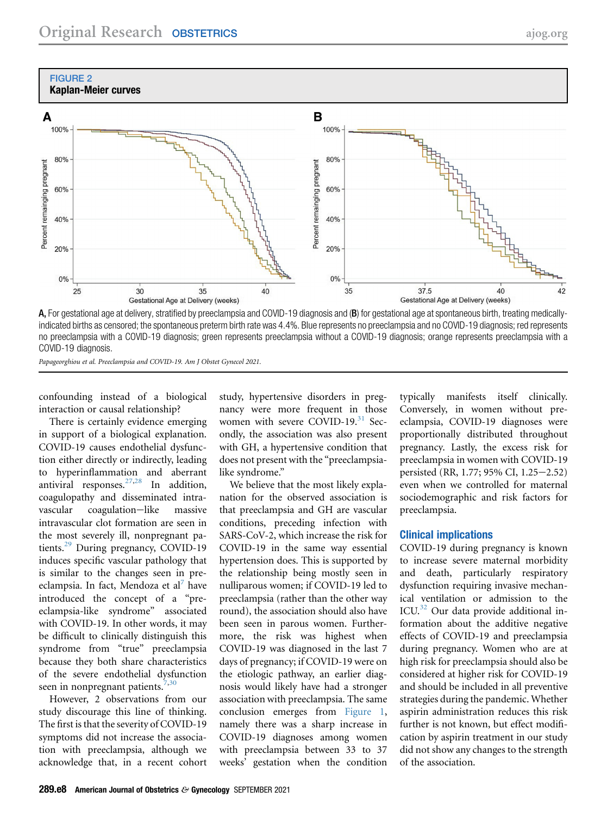

<span id="page-7-0"></span>

A, For gestational age at delivery, stratified by preeclampsia and COVID-19 diagnosis and (B) for gestational age at spontaneous birth, treating medicallyindicated births as censored; the spontaneous preterm birth rate was 4.4%. Blue represents no preeclampsia and no COVID-19 diagnosis; red represents no preeclampsia with a COVID-19 diagnosis; green represents preeclampsia without a COVID-19 diagnosis; orange represents preeclampsia with a COVID-19 diagnosis.

Papageorghiou et al. Preeclampsia and COVID-19. Am J Obstet Gynecol 2021.

confounding instead of a biological interaction or causal relationship?

There is certainly evidence emerging in support of a biological explanation. COVID-19 causes endothelial dysfunction either directly or indirectly, leading to hyperinflammation and aberrant antiviral responses.[27,](#page-10-13)[28](#page-10-14) In addition, coagulopathy and disseminated intravascular coagulation-like massive intravascular clot formation are seen in the most severely ill, nonpregnant patients.<sup>29</sup> During pregnancy, COVID-19 induces specific vascular pathology that is similar to the changes seen in pre-eclampsia. In fact, Mendoza et al<sup>[7](#page-10-1)</sup> have introduced the concept of a "preeclampsia-like syndrome" associated with COVID-19. In other words, it may be difficult to clinically distinguish this syndrome from "true" preeclampsia because they both share characteristics of the severe endothelial dysfunction seen in nonpregnant patients. $7,30$  $7,30$ 

However, 2 observations from our study discourage this line of thinking. The first is that the severity of COVID-19 symptoms did not increase the association with preeclampsia, although we acknowledge that, in a recent cohort study, hypertensive disorders in pregnancy were more frequent in those women with severe COVID-19.<sup>[31](#page-10-17)</sup> Secondly, the association was also present with GH, a hypertensive condition that does not present with the "preeclampsialike syndrome."

We believe that the most likely explanation for the observed association is that preeclampsia and GH are vascular conditions, preceding infection with SARS-CoV-2, which increase the risk for COVID-19 in the same way essential hypertension does. This is supported by the relationship being mostly seen in nulliparous women; if COVID-19 led to preeclampsia (rather than the other way round), the association should also have been seen in parous women. Furthermore, the risk was highest when COVID-19 was diagnosed in the last 7 days of pregnancy; if COVID-19 were on the etiologic pathway, an earlier diagnosis would likely have had a stronger association with preeclampsia. The same conclusion emerges from [Figure 1](#page-5-1), namely there was a sharp increase in COVID-19 diagnoses among women with preeclampsia between 33 to 37 weeks' gestation when the condition

typically manifests itself clinically. Conversely, in women without preeclampsia, COVID-19 diagnoses were proportionally distributed throughout pregnancy. Lastly, the excess risk for preeclampsia in women with COVID-19 persisted (RR, 1.77; 95% CI, 1.25–2.52) even when we controlled for maternal sociodemographic and risk factors for preeclampsia.

#### Clinical implications

COVID-19 during pregnancy is known to increase severe maternal morbidity and death, particularly respiratory dysfunction requiring invasive mechanical ventilation or admission to the ICU.<sup>[32](#page-10-18)</sup> Our data provide additional information about the additive negative effects of COVID-19 and preeclampsia during pregnancy. Women who are at high risk for preeclampsia should also be considered at higher risk for COVID-19 and should be included in all preventive strategies during the pandemic. Whether aspirin administration reduces this risk further is not known, but effect modification by aspirin treatment in our study did not show any changes to the strength of the association.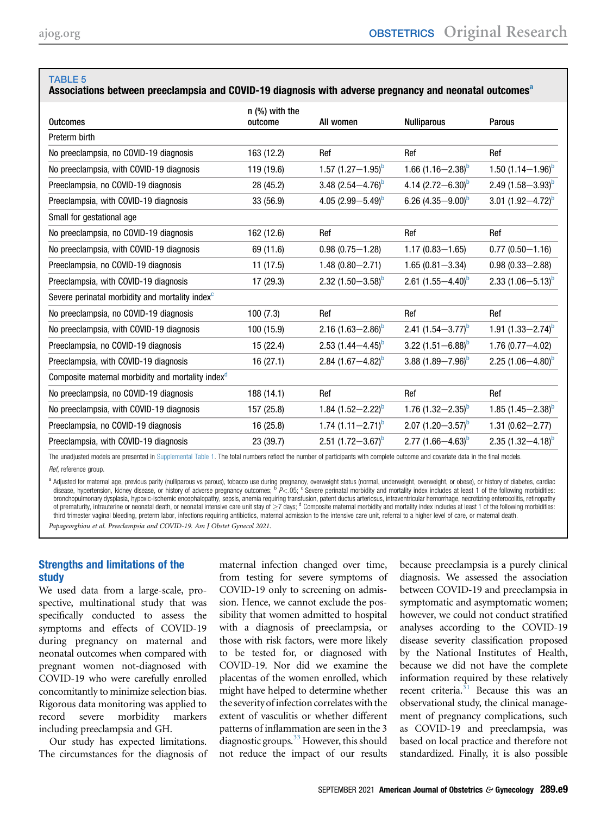## <span id="page-8-0"></span>Associ[a](#page-8-1)tions between preeclampsia and COVID-19 diagnosis with adverse pregnancy and neonatal outcomes<sup>a</sup>

|                                                               | $n$ (%) with the |                          |                          |                          |
|---------------------------------------------------------------|------------------|--------------------------|--------------------------|--------------------------|
| <b>Outcomes</b>                                               | outcome          | All women                | <b>Nulliparous</b>       | Parous                   |
| Preterm birth                                                 |                  |                          |                          |                          |
| No preeclampsia, no COVID-19 diagnosis                        | 163 (12.2)       | Ref                      | Ref                      | Ref                      |
| No preeclampsia, with COVID-19 diagnosis                      | 119 (19.6)       | 1.57 $(1.27 - 1.95)^b$   | 1.66 $(1.16 - 2.38)^{b}$ | 1.50 $(1.14 - 1.96)^b$   |
| Preeclampsia, no COVID-19 diagnosis                           | 28 (45.2)        | 3.48 $(2.54 - 4.76)^b$   | 4.14 $(2.72 - 6.30)^b$   | 2.49 $(1.58 - 3.93)^b$   |
| Preeclampsia, with COVID-19 diagnosis                         | 33 (56.9)        | 4.05 $(2.99 - 5.49)^b$   | 6.26 $(4.35 - 9.00)^b$   | 3.01 $(1.92 - 4.72)^b$   |
| Small for gestational age                                     |                  |                          |                          |                          |
| No preeclampsia, no COVID-19 diagnosis                        | 162 (12.6)       | Ref                      | Ref                      | Ref                      |
| No preeclampsia, with COVID-19 diagnosis                      | 69 (11.6)        | $0.98(0.75 - 1.28)$      | $1.17(0.83 - 1.65)$      | $0.77(0.50 - 1.16)$      |
| Preeclampsia, no COVID-19 diagnosis                           | 11(17.5)         | $1.48(0.80 - 2.71)$      | $1.65(0.81 - 3.34)$      | $0.98(0.33 - 2.88)$      |
| Preeclampsia, with COVID-19 diagnosis                         | 17 (29.3)        | 2.32 $(1.50 - 3.58)^b$   | 2.61 $(1.55 - 4.40)^b$   | 2.33 $(1.06 - 5.13)^b$   |
| Severe perinatal morbidity and mortality index <sup>c</sup>   |                  |                          |                          |                          |
| No preeclampsia, no COVID-19 diagnosis                        | 100(7.3)         | Ref                      | Ref                      | Ref                      |
| No preeclampsia, with COVID-19 diagnosis                      | 100 (15.9)       | 2.16 $(1.63 - 2.86)^b$   | 2.41 $(1.54 - 3.77)^b$   | 1.91 $(1.33 - 2.74)^b$   |
| Preeclampsia, no COVID-19 diagnosis                           | 15 (22.4)        | 2.53 $(1.44 - 4.45)^b$   | 3.22 $(1.51 - 6.88)^b$   | $1.76(0.77 - 4.02)$      |
| Preeclampsia, with COVID-19 diagnosis                         | 16(27.1)         | 2.84 $(1.67 - 4.82)^b$   | 3.88 $(1.89 - 7.96)^b$   | 2.25 $(1.06 - 4.80)^b$   |
| Composite maternal morbidity and mortality index <sup>d</sup> |                  |                          |                          |                          |
| No preeclampsia, no COVID-19 diagnosis                        | 188 (14.1)       | Ref                      | Ref                      | Ref                      |
| No preeclampsia, with COVID-19 diagnosis                      | 157 (25.8)       | 1.84 $(1.52 - 2.22)^{b}$ | 1.76 $(1.32 - 2.35)^{b}$ | 1.85 $(1.45 - 2.38)^{b}$ |
| Preeclampsia, no COVID-19 diagnosis                           | 16 (25.8)        | 1.74 $(1.11 - 2.71)^b$   | 2.07 $(1.20 - 3.57)^b$   | $1.31(0.62 - 2.77)$      |
| Preeclampsia, with COVID-19 diagnosis                         | 23 (39.7)        | 2.51 $(1.72 - 3.67)^b$   | 2.77 $(1.66 - 4.63)^b$   | 2.35 $(1.32 - 4.18)^b$   |

The unadjusted models are presented in [Supplemental Table 1.](#page-15-0) The total numbers reflect the number of participants with complete outcome and covariate data in the final models.

Ref, reference group.

<span id="page-8-3"></span><span id="page-8-2"></span><span id="page-8-1"></span>a Adjusted for maternal age, previous parity (nulliparous vs parous), tobacco use during pregnancy, overweight status (normal, underweight, overweight, or obese), or history of diabetes, cardiac<br>disease, hypertension, kidn bronchopulmonary dysplasia, hypoxic-ischemic encephalopathy, sepsis, anemia requiring transfusion, patent ductus arteriosus, intraventricular hemorrhage, necrotizing enterocolitis, retinopathy of prematurity, intrauterine or neonatal death, or neonatal intensive care unit stay of  $\geq 7$  days;  $^d$  Composite maternal morbidity and mortality index includes at least 1 of the following morbidities: third trimester vaginal bleeding, preterm labor, infections requiring antibiotics, maternal admission to the intensive care unit, referral to a higher level of care, or maternal death. Papageorghiou et al. Preeclampsia and COVID-19. Am J Obstet Gynecol 2021.

## Strengths and limitations of the study

We used data from a large-scale, prospective, multinational study that was specifically conducted to assess the symptoms and effects of COVID-19 during pregnancy on maternal and neonatal outcomes when compared with pregnant women not-diagnosed with COVID-19 who were carefully enrolled concomitantly to minimize selection bias. Rigorous data monitoring was applied to record severe morbidity markers including preeclampsia and GH.

Our study has expected limitations. The circumstances for the diagnosis of maternal infection changed over time, from testing for severe symptoms of COVID-19 only to screening on admission. Hence, we cannot exclude the possibility that women admitted to hospital with a diagnosis of preeclampsia, or those with risk factors, were more likely to be tested for, or diagnosed with COVID-19. Nor did we examine the placentas of the women enrolled, which might have helped to determine whether the severity of infection correlates with the extent of vasculitis or whether different patterns of inflammation are seen in the 3 diagnostic groups.<sup>33</sup> However, this should not reduce the impact of our results because preeclampsia is a purely clinical diagnosis. We assessed the association between COVID-19 and preeclampsia in symptomatic and asymptomatic women; however, we could not conduct stratified analyses according to the COVID-19 disease severity classification proposed by the National Institutes of Health, because we did not have the complete information required by these relatively recent criteria. $31$  Because this was an observational study, the clinical management of pregnancy complications, such as COVID-19 and preeclampsia, was based on local practice and therefore not standardized. Finally, it is also possible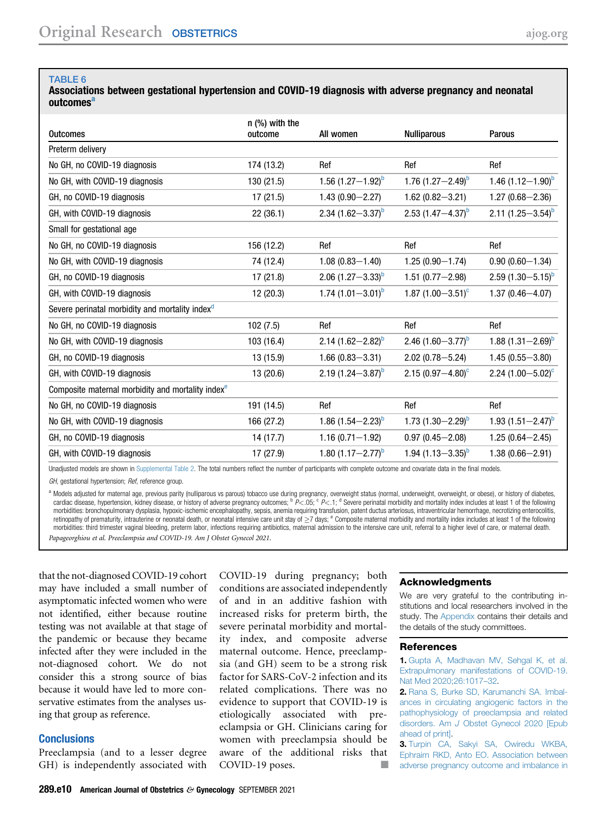#### <span id="page-9-3"></span>Associations between gestational hypertension and COVID-19 diagnosis with adverse pregnancy and neonatal outcomes<sup>[a](#page-9-4)</sup>

| <b>Outcomes</b>                                               | $n$ (%) with the<br>outcome | All women                | <b>Nulliparous</b>               | <b>Parous</b>            |
|---------------------------------------------------------------|-----------------------------|--------------------------|----------------------------------|--------------------------|
| Preterm delivery                                              |                             |                          |                                  |                          |
| No GH, no COVID-19 diagnosis                                  | 174 (13.2)                  | Ref                      | Ref                              | Ref                      |
| No GH, with COVID-19 diagnosis                                | 130 (21.5)                  | 1.56 $(1.27 - 1.92)^b$   | 1.76 $(1.27 - 2.49)^b$           | 1.46 $(1.12 - 1.90)^b$   |
| GH, no COVID-19 diagnosis                                     | 17(21.5)                    | $1.43(0.90 - 2.27)$      | $1.62(0.82 - 3.21)$              | $1.27(0.68 - 2.36)$      |
| GH, with COVID-19 diagnosis                                   | 22 (36.1)                   | 2.34 $(1.62 - 3.37)^b$   | 2.53 $(1.47 - 4.37)^b$           | 2.11 $(1.25 - 3.54)^b$   |
| Small for gestational age                                     |                             |                          |                                  |                          |
| No GH, no COVID-19 diagnosis                                  | 156 (12.2)                  | Ref                      | Ref                              | Ref                      |
| No GH, with COVID-19 diagnosis                                | 74 (12.4)                   | $1.08(0.83 - 1.40)$      | $1.25(0.90 - 1.74)$              | $0.90(0.60 - 1.34)$      |
| GH, no COVID-19 diagnosis                                     | 17(21.8)                    | 2.06 $(1.27 - 3.33)^b$   | $1.51(0.77 - 2.98)$              | 2.59 $(1.30 - 5.15)^b$   |
| GH, with COVID-19 diagnosis                                   | 12 (20.3)                   | 1.74 $(1.01 - 3.01)^b$   | 1.87 $(1.00 - 3.51)^c$           | $1.37(0.46 - 4.07)$      |
| Severe perinatal morbidity and mortality index <sup>d</sup>   |                             |                          |                                  |                          |
| No GH, no COVID-19 diagnosis                                  | 102(7.5)                    | Ref                      | Ref                              | Ref                      |
| No GH, with COVID-19 diagnosis                                | 103 (16.4)                  | 2.14 $(1.62 - 2.82)^{b}$ | 2.46 $(1.60 - 3.77)^b$           | 1.88 $(1.31 - 2.69)^{6}$ |
| GH, no COVID-19 diagnosis                                     | 13 (15.9)                   | $1.66(0.83 - 3.31)$      | $2.02(0.78 - 5.24)$              | $1.45(0.55 - 3.80)$      |
| GH, with COVID-19 diagnosis                                   | 13 (20.6)                   | 2.19 $(1.24 - 3.87)^b$   | $2.15(0.97 - 4.80)$ <sup>c</sup> | 2.24 $(1.00 - 5.02)^{c}$ |
| Composite maternal morbidity and mortality index <sup>e</sup> |                             |                          |                                  |                          |
| No GH, no COVID-19 diagnosis                                  | 191 (14.5)                  | Ref                      | Ref                              | Ref                      |
| No GH, with COVID-19 diagnosis                                | 166 (27.2)                  | 1.86 $(1.54 - 2.23)^{6}$ | 1.73 $(1.30 - 2.29)^b$           | 1.93 $(1.51 - 2.47)^b$   |
| GH, no COVID-19 diagnosis                                     | 14 (17.7)                   | $1.16(0.71 - 1.92)$      | $0.97(0.45 - 2.08)$              | $1.25(0.64 - 2.45)$      |
| GH, with COVID-19 diagnosis                                   | 17 (27.9)                   | 1.80 $(1.17 - 2.77)^b$   | 1.94 $(1.13 - 3.35)^b$           | $1.38(0.66 - 2.91)$      |

Unadjusted models are shown in [Supplemental Table 2](#page-16-1). The total numbers reflect the number of participants with complete outcome and covariate data in the final models.

GH, gestational hypertension; Ref, reference group.

<span id="page-9-6"></span><span id="page-9-5"></span><span id="page-9-4"></span>a Models adjusted for maternal age, previous parity (nulliparous vs parous) tobacco use during pregnancy, overweight status (normal, underweight, overweight, or obese), or history of diabetes, cardiac disease, hypertension, kidney disease, or history of adverse pregnancy outcomes;  $\frac{b}{c}$ ,  $0.05$ ;  $\frac{c}{c}$ ,  $1$ ,  $\frac{d}{c}$  Severe perinatal morbidity and mortality index includes at least 1 of the following morbidities: bronchopulmonary dysplasia, hypoxic-ischemic encephalopathy, sepsis, anemia requiring transfusion, patent ductus arteriosus, intraventricular hemorrhage, necrotizing enterocolitis, retinopathy of prematurity, intrauterine or neonatal death, or neonatal intensive care unit stay of  $\geq 7$  days;  $e$  Composite maternal morbidity and mortality index includes at least 1 of the following morbidities: third trimester vaginal bleeding, preterm labor, infections requiring antibiotics, maternal admission to the intensive care unit, referral to a higher level of care, or maternal death. Papageorghiou et al. Preeclampsia and COVID-19. Am J Obstet Gynecol 2021.

that the not-diagnosed COVID-19 cohort may have included a small number of asymptomatic infected women who were not identified, either because routine testing was not available at that stage of the pandemic or because they became infected after they were included in the not-diagnosed cohort. We do not consider this a strong source of bias because it would have led to more conservative estimates from the analyses using that group as reference.

#### **Conclusions**

Preeclampsia (and to a lesser degree GH) is independently associated with

COVID-19 during pregnancy; both conditions are associated independently of and in an additive fashion with increased risks for preterm birth, the severe perinatal morbidity and mortality index, and composite adverse maternal outcome. Hence, preeclampsia (and GH) seem to be a strong risk factor for SARS-CoV-2 infection and its related complications. There was no evidence to support that COVID-19 is etiologically associated with preeclampsia or GH. Clinicians caring for women with preeclampsia should be aware of the additional risks that COVID-19 poses.

#### Acknowledgments

We are very grateful to the contributing institutions and local researchers involved in the study. The [Appendix](#page-12-0) contains their details and the details of the study committees.

#### **References**

<span id="page-9-0"></span>1. [Gupta A, Madhavan MV, Sehgal K, et al.](http://refhub.elsevier.com/S0002-9378(21)00561-5/sref1) [Extrapulmonary manifestations of COVID-19.](http://refhub.elsevier.com/S0002-9378(21)00561-5/sref1) [Nat Med 2020;26:1017](http://refhub.elsevier.com/S0002-9378(21)00561-5/sref1)–32.

<span id="page-9-1"></span>2. [Rana S, Burke SD, Karumanchi SA. Imbal](http://refhub.elsevier.com/S0002-9378(21)00561-5/sref2)[ances in circulating angiogenic factors in the](http://refhub.elsevier.com/S0002-9378(21)00561-5/sref2) [pathophysiology of preeclampsia and related](http://refhub.elsevier.com/S0002-9378(21)00561-5/sref2) disorders. Am J [Obstet Gynecol 2020 \[Epub](http://refhub.elsevier.com/S0002-9378(21)00561-5/sref2) [ahead of print\]](http://refhub.elsevier.com/S0002-9378(21)00561-5/sref2).

<span id="page-9-2"></span>3. [Turpin CA, Sakyi SA, Owiredu WKBA,](http://refhub.elsevier.com/S0002-9378(21)00561-5/sref3) [Ephraim RKD, Anto EO. Association between](http://refhub.elsevier.com/S0002-9378(21)00561-5/sref3) [adverse pregnancy outcome and imbalance in](http://refhub.elsevier.com/S0002-9378(21)00561-5/sref3)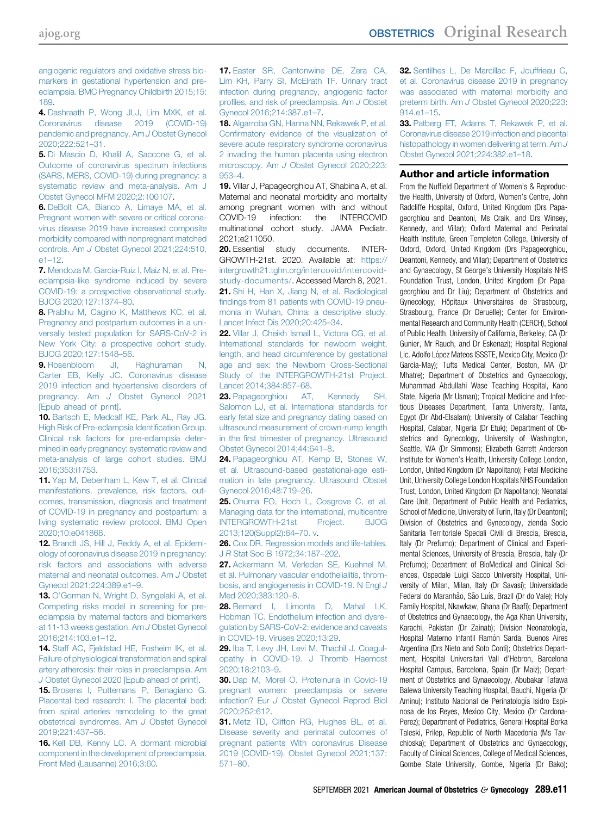[angiogenic regulators and oxidative stress bio](http://refhub.elsevier.com/S0002-9378(21)00561-5/sref3)[markers in gestational hypertension and pre](http://refhub.elsevier.com/S0002-9378(21)00561-5/sref3)[eclampsia. BMC Pregnancy Childbirth 2015;15:](http://refhub.elsevier.com/S0002-9378(21)00561-5/sref3) [189](http://refhub.elsevier.com/S0002-9378(21)00561-5/sref3).

<span id="page-10-0"></span>4. [Dashraath P, Wong JLJ, Lim MXK, et al.](http://refhub.elsevier.com/S0002-9378(21)00561-5/sref4) [Coronavirus disease 2019 \(COVID-19\)](http://refhub.elsevier.com/S0002-9378(21)00561-5/sref4) [pandemic and pregnancy. Am](http://refhub.elsevier.com/S0002-9378(21)00561-5/sref4) J Obstet Gynecol [2020;222:521](http://refhub.elsevier.com/S0002-9378(21)00561-5/sref4)–31.

5. [Di Mascio D, Khalil A, Saccone G, et al.](http://refhub.elsevier.com/S0002-9378(21)00561-5/sref5) [Outcome of coronavirus spectrum infections](http://refhub.elsevier.com/S0002-9378(21)00561-5/sref5) [\(SARS, MERS, COVID-19\) during pregnancy: a](http://refhub.elsevier.com/S0002-9378(21)00561-5/sref5) [systematic review and meta-analysis. Am J](http://refhub.elsevier.com/S0002-9378(21)00561-5/sref5) [Obstet Gynecol MFM 2020;2:100107.](http://refhub.elsevier.com/S0002-9378(21)00561-5/sref5)

6. [DeBolt CA, Bianco A, Limaye MA, et al.](http://refhub.elsevier.com/S0002-9378(21)00561-5/sref6) [Pregnant women with severe or critical corona](http://refhub.elsevier.com/S0002-9378(21)00561-5/sref6)[virus disease 2019 have increased composite](http://refhub.elsevier.com/S0002-9378(21)00561-5/sref6) [morbidity compared with nonpregnant matched](http://refhub.elsevier.com/S0002-9378(21)00561-5/sref6) controls. Am J [Obstet Gynecol 2021;224:510.](http://refhub.elsevier.com/S0002-9378(21)00561-5/sref6)  $e1 - 12$  $e1 - 12$ 

<span id="page-10-1"></span>7. [Mendoza M, Garcia-Ruiz I, Maiz N, et al. Pre](http://refhub.elsevier.com/S0002-9378(21)00561-5/sref7)[eclampsia-like syndrome induced by severe](http://refhub.elsevier.com/S0002-9378(21)00561-5/sref7) [COVID-19: a prospective observational study.](http://refhub.elsevier.com/S0002-9378(21)00561-5/sref7) [BJOG 2020;127:1374](http://refhub.elsevier.com/S0002-9378(21)00561-5/sref7)–80.

8. [Prabhu M, Cagino K, Matthews KC, et al.](http://refhub.elsevier.com/S0002-9378(21)00561-5/sref8) [Pregnancy and postpartum outcomes in a uni](http://refhub.elsevier.com/S0002-9378(21)00561-5/sref8)[versally tested population for SARS-CoV-2 in](http://refhub.elsevier.com/S0002-9378(21)00561-5/sref8) [New York City: a prospective cohort study.](http://refhub.elsevier.com/S0002-9378(21)00561-5/sref8) [BJOG 2020;127:1548](http://refhub.elsevier.com/S0002-9378(21)00561-5/sref8)–56.

9. [Rosenbloom JI, Raghuraman N,](http://refhub.elsevier.com/S0002-9378(21)00561-5/sref9) [Carter EB, Kelly JC. Coronavirus disease](http://refhub.elsevier.com/S0002-9378(21)00561-5/sref9) [2019 infection and hypertensive disorders of](http://refhub.elsevier.com/S0002-9378(21)00561-5/sref9) pregnancy. Am J [Obstet Gynecol 2021](http://refhub.elsevier.com/S0002-9378(21)00561-5/sref9) [\[Epub ahead of print\].](http://refhub.elsevier.com/S0002-9378(21)00561-5/sref9)

<span id="page-10-2"></span>10. [Bartsch E, Medcalf KE, Park AL, Ray JG.](http://refhub.elsevier.com/S0002-9378(21)00561-5/sref10) [High Risk of Pre-eclampsia Identi](http://refhub.elsevier.com/S0002-9378(21)00561-5/sref10)fication Group. [Clinical risk factors for pre-eclampsia deter](http://refhub.elsevier.com/S0002-9378(21)00561-5/sref10)[mined in early pregnancy: systematic review and](http://refhub.elsevier.com/S0002-9378(21)00561-5/sref10) [meta-analysis of large cohort studies. BMJ](http://refhub.elsevier.com/S0002-9378(21)00561-5/sref10) [2016;353:i1753.](http://refhub.elsevier.com/S0002-9378(21)00561-5/sref10)

11. [Yap M, Debenham L, Kew T, et al. Clinical](http://refhub.elsevier.com/S0002-9378(21)00561-5/sref11) [manifestations, prevalence, risk factors, out](http://refhub.elsevier.com/S0002-9378(21)00561-5/sref11)[comes, transmission, diagnosis and treatment](http://refhub.elsevier.com/S0002-9378(21)00561-5/sref11) [of COVID-19 in pregnancy and postpartum: a](http://refhub.elsevier.com/S0002-9378(21)00561-5/sref11) [living systematic review protocol. BMJ Open](http://refhub.elsevier.com/S0002-9378(21)00561-5/sref11) [2020;10:e041868.](http://refhub.elsevier.com/S0002-9378(21)00561-5/sref11)

12. [Brandt JS, Hill J, Reddy A, et al. Epidemi](http://refhub.elsevier.com/S0002-9378(21)00561-5/sref12)[ology of coronavirus disease 2019 in pregnancy:](http://refhub.elsevier.com/S0002-9378(21)00561-5/sref12) [risk factors and associations with adverse](http://refhub.elsevier.com/S0002-9378(21)00561-5/sref12) [maternal and neonatal outcomes. Am](http://refhub.elsevier.com/S0002-9378(21)00561-5/sref12) J Obstet [Gynecol 2021;224:389.e1](http://refhub.elsevier.com/S0002-9378(21)00561-5/sref12)–9.

<span id="page-10-3"></span>13. O'[Gorman N, Wright D, Syngelaki A, et al.](http://refhub.elsevier.com/S0002-9378(21)00561-5/sref13) [Competing risks model in screening for pre](http://refhub.elsevier.com/S0002-9378(21)00561-5/sref13)[eclampsia by maternal factors and biomarkers](http://refhub.elsevier.com/S0002-9378(21)00561-5/sref13) [at 11-13 weeks gestation. Am](http://refhub.elsevier.com/S0002-9378(21)00561-5/sref13) J Obstet Gynecol [2016;214:103.e1](http://refhub.elsevier.com/S0002-9378(21)00561-5/sref13)–12.

14. [Staff AC, Fjeldstad HE, Fosheim IK, et al.](http://refhub.elsevier.com/S0002-9378(21)00561-5/sref14) [Failure of physiological transformation and spiral](http://refhub.elsevier.com/S0002-9378(21)00561-5/sref14) [artery atherosis: their roles in preeclampsia. Am](http://refhub.elsevier.com/S0002-9378(21)00561-5/sref14) J [Obstet Gynecol 2020 \[Epub ahead of print\]](http://refhub.elsevier.com/S0002-9378(21)00561-5/sref14).

15. [Brosens I, Puttemans P, Benagiano G.](http://refhub.elsevier.com/S0002-9378(21)00561-5/sref15) [Placental bed research: I. The placental bed:](http://refhub.elsevier.com/S0002-9378(21)00561-5/sref15) [from spiral arteries remodeling to the great](http://refhub.elsevier.com/S0002-9378(21)00561-5/sref15) [obstetrical syndromes. Am](http://refhub.elsevier.com/S0002-9378(21)00561-5/sref15) J Obstet Gynecol [2019;221:437](http://refhub.elsevier.com/S0002-9378(21)00561-5/sref15)–56.

<span id="page-10-4"></span>16. [Kell DB, Kenny LC. A dormant microbial](http://refhub.elsevier.com/S0002-9378(21)00561-5/sref16) [component in the development of preeclampsia.](http://refhub.elsevier.com/S0002-9378(21)00561-5/sref16) [Front Med \(Lausanne\) 2016;3:60.](http://refhub.elsevier.com/S0002-9378(21)00561-5/sref16)

17. [Easter SR, Cantonwine DE, Zera CA,](http://refhub.elsevier.com/S0002-9378(21)00561-5/sref17) [Lim KH, Parry SI, McElrath TF. Urinary tract](http://refhub.elsevier.com/S0002-9378(21)00561-5/sref17) [infection during pregnancy, angiogenic factor](http://refhub.elsevier.com/S0002-9378(21)00561-5/sref17) profi[les, and risk of preeclampsia. Am](http://refhub.elsevier.com/S0002-9378(21)00561-5/sref17) J Obstet [Gynecol 2016;214:387.e1](http://refhub.elsevier.com/S0002-9378(21)00561-5/sref17)–7.

18. [Algarroba GN, Hanna NN, Rekawek P, et al.](http://refhub.elsevier.com/S0002-9378(21)00561-5/sref18) Confi[rmatory evidence of the visualization of](http://refhub.elsevier.com/S0002-9378(21)00561-5/sref18) [severe acute respiratory syndrome coronavirus](http://refhub.elsevier.com/S0002-9378(21)00561-5/sref18) [2 invading the human placenta using electron](http://refhub.elsevier.com/S0002-9378(21)00561-5/sref18) microscopy. Am J [Obstet Gynecol 2020;223:](http://refhub.elsevier.com/S0002-9378(21)00561-5/sref18) [953](http://refhub.elsevier.com/S0002-9378(21)00561-5/sref18)–4.

<span id="page-10-5"></span>19. Villar J, Papageorghiou AT, Shabina A, et al. Maternal and neonatal morbidity and mortality among pregnant women with and without COVID-19 infection: the INTERCOVID multinational cohort study. JAMA Pediatr. 2021;e211050.

<span id="page-10-7"></span><span id="page-10-6"></span>20. Essential study documents. INTER-GROWTH-21st. 2020. Available at: [https://](https://intergrowth21.tghn.org/intercovid/intercovid-study-documents/) [intergrowth21.tghn.org/intercovid/intercovid](https://intergrowth21.tghn.org/intercovid/intercovid-study-documents/)[study-documents/](https://intergrowth21.tghn.org/intercovid/intercovid-study-documents/). Accessed March 8, 2021. 21. [Shi H, Han X, Jiang N, et al. Radiological](http://refhub.elsevier.com/S0002-9378(21)00561-5/sref21) fi[ndings from 81 patients with COVID-19 pneu](http://refhub.elsevier.com/S0002-9378(21)00561-5/sref21)[monia in Wuhan, China: a descriptive study.](http://refhub.elsevier.com/S0002-9378(21)00561-5/sref21) [Lancet Infect Dis 2020;20:425](http://refhub.elsevier.com/S0002-9378(21)00561-5/sref21)–34.

<span id="page-10-8"></span>22. [Villar J, Cheikh Ismail L, Victora CG, et al.](http://refhub.elsevier.com/S0002-9378(21)00561-5/sref22) [International standards for newborn weight,](http://refhub.elsevier.com/S0002-9378(21)00561-5/sref22) [length, and head circumference by gestational](http://refhub.elsevier.com/S0002-9378(21)00561-5/sref22) [age and sex: the Newborn Cross-Sectional](http://refhub.elsevier.com/S0002-9378(21)00561-5/sref22) [Study of the INTERGROWTH-21st Project.](http://refhub.elsevier.com/S0002-9378(21)00561-5/sref22) [Lancet 2014;384:857](http://refhub.elsevier.com/S0002-9378(21)00561-5/sref22)–68.

<span id="page-10-9"></span>23. [Papageorghiou AT, Kennedy SH,](http://refhub.elsevier.com/S0002-9378(21)00561-5/sref23) [Salomon LJ, et al. International standards for](http://refhub.elsevier.com/S0002-9378(21)00561-5/sref23) [early fetal size and pregnancy dating based on](http://refhub.elsevier.com/S0002-9378(21)00561-5/sref23) [ultrasound measurement of crown-rump length](http://refhub.elsevier.com/S0002-9378(21)00561-5/sref23) in the fi[rst trimester of pregnancy. Ultrasound](http://refhub.elsevier.com/S0002-9378(21)00561-5/sref23) [Obstet Gynecol 2014;44:641](http://refhub.elsevier.com/S0002-9378(21)00561-5/sref23)–8.

<span id="page-10-10"></span>24. [Papageorghiou AT, Kemp B, Stones W,](http://refhub.elsevier.com/S0002-9378(21)00561-5/sref24) [et al. Ultrasound-based gestational-age esti](http://refhub.elsevier.com/S0002-9378(21)00561-5/sref24)[mation in late pregnancy. Ultrasound Obstet](http://refhub.elsevier.com/S0002-9378(21)00561-5/sref24) [Gynecol 2016;48:719](http://refhub.elsevier.com/S0002-9378(21)00561-5/sref24)–26.

<span id="page-10-11"></span>25. [Ohuma EO, Hoch L, Cosgrove C, et al.](http://refhub.elsevier.com/S0002-9378(21)00561-5/sref25) [Managing data for the international, multicentre](http://refhub.elsevier.com/S0002-9378(21)00561-5/sref25) [INTERGROWTH-21st Project. BJOG](http://refhub.elsevier.com/S0002-9378(21)00561-5/sref25) [2013;120\(Suppl2\):64](http://refhub.elsevier.com/S0002-9378(21)00561-5/sref25)–70. v.

<span id="page-10-12"></span>26. [Cox DR. Regression models and life-tables.](http://refhub.elsevier.com/S0002-9378(21)00561-5/sref26) J R [Stat Soc B 1972;34:187](http://refhub.elsevier.com/S0002-9378(21)00561-5/sref26)–202.

<span id="page-10-13"></span>27. [Ackermann M, Verleden SE, Kuehnel M,](http://refhub.elsevier.com/S0002-9378(21)00561-5/sref27) [et al. Pulmonary vascular endothelialitis, throm](http://refhub.elsevier.com/S0002-9378(21)00561-5/sref27)[bosis, and angiogenesis in COVID-19. N Engl](http://refhub.elsevier.com/S0002-9378(21)00561-5/sref27) J [Med 2020;383:120](http://refhub.elsevier.com/S0002-9378(21)00561-5/sref27)–8.

<span id="page-10-14"></span>28. [Bernard I, Limonta D, Mahal LK,](http://refhub.elsevier.com/S0002-9378(21)00561-5/sref28) [Hobman TC. Endothelium infection and dysre](http://refhub.elsevier.com/S0002-9378(21)00561-5/sref28)[gulation by SARS-CoV-2: evidence and caveats](http://refhub.elsevier.com/S0002-9378(21)00561-5/sref28) [in COVID-19. Viruses 2020;13:29](http://refhub.elsevier.com/S0002-9378(21)00561-5/sref28).

<span id="page-10-15"></span>29. [Iba T, Levy JH, Levi M, Thachil J. Coagul](http://refhub.elsevier.com/S0002-9378(21)00561-5/sref29)[opathy in COVID-19. J Thromb Haemost](http://refhub.elsevier.com/S0002-9378(21)00561-5/sref29) [2020;18:2103](http://refhub.elsevier.com/S0002-9378(21)00561-5/sref29)–9.

<span id="page-10-16"></span>30. [Dap M, Morel O. Proteinuria in Covid-19](http://refhub.elsevier.com/S0002-9378(21)00561-5/sref30) [pregnant women: preeclampsia or severe](http://refhub.elsevier.com/S0002-9378(21)00561-5/sref30) infection? Eur J [Obstet Gynecol Reprod Biol](http://refhub.elsevier.com/S0002-9378(21)00561-5/sref30) [2020;252:612](http://refhub.elsevier.com/S0002-9378(21)00561-5/sref30).

<span id="page-10-17"></span>31. [Metz TD, Clifton RG, Hughes BL, et al.](http://refhub.elsevier.com/S0002-9378(21)00561-5/sref31) [Disease severity and perinatal outcomes of](http://refhub.elsevier.com/S0002-9378(21)00561-5/sref31) [pregnant patients With coronavirus Disease](http://refhub.elsevier.com/S0002-9378(21)00561-5/sref31) [2019 \(COVID-19\). Obstet Gynecol 2021;137:](http://refhub.elsevier.com/S0002-9378(21)00561-5/sref31) [571](http://refhub.elsevier.com/S0002-9378(21)00561-5/sref31)–80.

<span id="page-10-18"></span>32. [Sentilhes L, De Marcillac F, Jouffrieau C,](http://refhub.elsevier.com/S0002-9378(21)00561-5/sref32) [et al. Coronavirus disease 2019 in pregnancy](http://refhub.elsevier.com/S0002-9378(21)00561-5/sref32) [was associated with maternal morbidity and](http://refhub.elsevier.com/S0002-9378(21)00561-5/sref32) preterm birth. Am J [Obstet Gynecol 2020;223:](http://refhub.elsevier.com/S0002-9378(21)00561-5/sref32) [914.e1](http://refhub.elsevier.com/S0002-9378(21)00561-5/sref32)–15.

<span id="page-10-19"></span>33. [Patberg ET, Adams T, Rekawek P, et al.](http://refhub.elsevier.com/S0002-9378(21)00561-5/sref33) [Coronavirus disease 2019 infection and placental](http://refhub.elsevier.com/S0002-9378(21)00561-5/sref33) [histopathology in women delivering at term. Am](http://refhub.elsevier.com/S0002-9378(21)00561-5/sref33) J [Obstet Gynecol 2021;224:382.e1](http://refhub.elsevier.com/S0002-9378(21)00561-5/sref33)–18.

#### Author and article information

From the Nuffield Department of Women's & Reproductive Health, University of Oxford, Women's Centre, John Radcliffe Hospital, Oxford, United Kingdom (Drs Papageorghiou and Deantoni, Ms Craik, and Drs Winsey, Kennedy, and Villar); Oxford Maternal and Perinatal Health Institute, Green Templeton College, University of Oxford, Oxford, United Kingdom (Drs Papageorghiou, Deantoni, Kennedy, and Villar); Department of Obstetrics and Gynaecology, St George's University Hospitals NHS Foundation Trust, London, United Kingdom (Dr Papageorghiou and Dr Liu); Department of Obstetrics and Gynecology, Hôpitaux Universitaires de Strasbourg, Strasbourg, France (Dr Deruelle); Center for Environmental Research and Community Health (CERCH), School of Public Health, University of California, Berkeley, CA (Dr Gunier, Mr Rauch, and Dr Eskenazi); Hospital Regional Lic. Adolfo López Mateos ISSSTE, Mexico City, Mexico (Dr García-May); Tufts Medical Center, Boston, MA (Dr Mhatre); Department of Obstetrics and Gynaecology, Muhammad Abdullahi Wase Teaching Hospital, Kano State, Nigeria (Mr Usman); Tropical Medicine and Infectious Diseases Department, Tanta University, Tanta, Egypt (Dr Abd-Elsalam); University of Calabar Teaching Hospital, Calabar, Nigeria (Dr Etuk); Department of Obstetrics and Gynecology, University of Washington, Seattle, WA (Dr Simmons); Elizabeth Garrett Anderson Institute for Women's Health, University College London, London, United Kingdom (Dr Napolitano); Fetal Medicine Unit, University College London Hospitals NHS Foundation Trust, London, United Kingdom (Dr Napolitano); Neonatal Care Unit, Department of Public Health and Pediatrics, School of Medicine, University of Turin, Italy (Dr Deantoni); Division of Obstetrics and Gynecology, zienda Socio Sanitaria Territoriale Spedali Civili di Brescia, Brescia, Italy (Dr Prefumo); Department of Clinical and Experimental Sciences, University of Brescia, Brescia, Italy (Dr Prefumo); Department of BioMedical and Clinical Sciences, Ospedale Luigi Sacco University Hospital, University of Milan, Milan, Italy (Dr Savasi); Universidade Federal do Maranhão, São Luís, Brazil (Dr do Vale); Holy Family Hospital, Nkawkaw, Ghana (Dr Baafi); Department of Obstetrics and Gynaecology, the Aga Khan University, Karachi, Pakistan (Dr Zainab); Division Neonatología, Hospital Materno Infantil Ramón Sarda, Buenos Aires Argentina (Drs Nieto and Soto Conti); Obstetrics Department, Hospital Universitari Vall d'Hebron, Barcelona Hospital Campus, Barcelona, Spain (Dr Maiz); Department of Obstetrics and Gynaecology, Abubakar Tafawa Balewa University Teaching Hospital, Bauchi, Nigeria (Dr Aminu); Instituto Nacional de Perinatología Isidro Espinosa de los Reyes, Mexico City, Mexico (Dr Cardona-Perez); Department of Pediatrics, General Hospital Borka Taleski, Prilep, Republic of North Macedonia (Ms Tavchioska); Department of Obstetrics and Gynaecology, Faculty of Clinical Sciences, College of Medical Sciences, Gombe State University, Gombe, Nigeria (Dr Bako);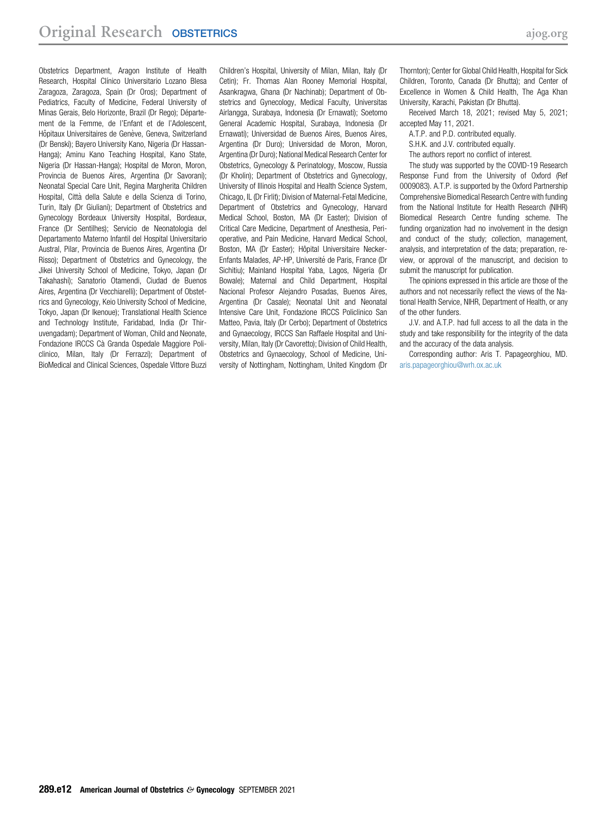Obstetrics Department, Aragon Institute of Health Research, Hospital Clínico Universitario Lozano Blesa Zaragoza, Zaragoza, Spain (Dr Oros); Department of Pediatrics, Faculty of Medicine, Federal University of Minas Gerais, Belo Horizonte, Brazil (Dr Rego); Département de la Femme, de l'Enfant et de l'Adolescent, Hônitaux Universitaires de Genève, Geneva, Switzerland (Dr Benski); Bayero University Kano, Nigeria (Dr Hassan-Hanga); Aminu Kano Teaching Hospital, Kano State, Nigeria (Dr Hassan-Hanga); Hospital de Moron, Moron, Provincia de Buenos Aires, Argentina (Dr Savorani); Neonatal Special Care Unit, Regina Margherita Children Hospital, Città della Salute e della Scienza di Torino, Turin, Italy (Dr Giuliani); Department of Obstetrics and Gynecology Bordeaux University Hospital, Bordeaux, France (Dr Sentilhes); Servicio de Neonatologia del Departamento Materno Infantil del Hospital Universitario Austral, Pilar, Provincia de Buenos Aires, Argentina (Dr Risso); Department of Obstetrics and Gynecology, the Jikei University School of Medicine, Tokyo, Japan (Dr Takahashi); Sanatorio Otamendi, Ciudad de Buenos Aires, Argentina (Dr Vecchiarelli); Department of Obstetrics and Gynecology, Keio University School of Medicine, Tokyo, Japan (Dr Ikenoue); Translational Health Science and Technology Institute, Faridabad, India (Dr Thiruvengadam); Department of Woman, Child and Neonate, Fondazione IRCCS Cà Granda Ospedale Maggiore Policlinico, Milan, Italy (Dr Ferrazzi); Department of BioMedical and Clinical Sciences, Ospedale Vittore Buzzi

Children's Hospital, University of Milan, Milan, Italy (Dr Cetin); Fr. Thomas Alan Rooney Memorial Hospital, Asankragwa, Ghana (Dr Nachinab); Department of Obstetrics and Gynecology, Medical Faculty, Universitas Airlangga, Surabaya, Indonesia (Dr Ernawati); Soetomo General Academic Hospital, Surabaya, Indonesia (Dr Ernawati); Universidad de Buenos Aires, Buenos Aires, Argentina (Dr Duro); Universidad de Moron, Moron, Argentina (Dr Duro); National Medical Research Center for Obstetrics, Gynecology & Perinatology, Moscow, Russia (Dr Kholin); Department of Obstetrics and Gynecology, University of Illinois Hospital and Health Science System, Chicago, IL (Dr Firlit); Division of Maternal-Fetal Medicine, Department of Obstetrics and Gynecology, Harvard Medical School, Boston, MA (Dr Easter); Division of Critical Care Medicine, Department of Anesthesia, Perioperative, and Pain Medicine, Harvard Medical School, Boston, MA (Dr Easter); Hôpital Universitaire Necker-Enfants Malades, AP-HP, Université de Paris, France (Dr Sichitiu); Mainland Hospital Yaba, Lagos, Nigeria (Dr Bowale); Maternal and Child Department, Hospital Nacional Profesor Alejandro Posadas, Buenos Aires, Argentina (Dr Casale); Neonatal Unit and Neonatal Intensive Care Unit, Fondazione IRCCS Policlinico San Matteo, Pavia, Italy (Dr Cerbo); Department of Obstetrics and Gynaecology, IRCCS San Raffaele Hospital and University, Milan, Italy (Dr Cavoretto); Division of Child Health, Obstetrics and Gynaecology, School of Medicine, University of Nottingham, Nottingham, United Kingdom (Dr

Thornton); Center for Global Child Health, Hospital for Sick Children, Toronto, Canada (Dr Bhutta); and Center of Excellence in Women & Child Health, The Aga Khan University, Karachi, Pakistan (Dr Bhutta).

Received March 18, 2021; revised May 5, 2021; accepted May 11, 2021.

- A.T.P. and P.D. contributed equally.
- S.H.K. and J.V. contributed equally.
- The authors report no conflict of interest.

The study was supported by the COVID-19 Research Response Fund from the University of Oxford (Ref 0009083). A.T.P. is supported by the Oxford Partnership Comprehensive Biomedical Research Centre with funding from the National Institute for Health Research (NIHR) Biomedical Research Centre funding scheme. The funding organization had no involvement in the design and conduct of the study; collection, management, analysis, and interpretation of the data; preparation, review, or approval of the manuscript, and decision to submit the manuscript for publication.

The opinions expressed in this article are those of the authors and not necessarily reflect the views of the National Health Service, NIHR, Department of Health, or any of the other funders.

J.V. and A.T.P. had full access to all the data in the study and take responsibility for the integrity of the data and the accuracy of the data analysis.

Corresponding author: Aris T. Papageorghiou, MD. [aris.papageorghiou@wrh.ox.ac.uk](mailto:aris.papageorghiou@wrh.ox.ac.uk)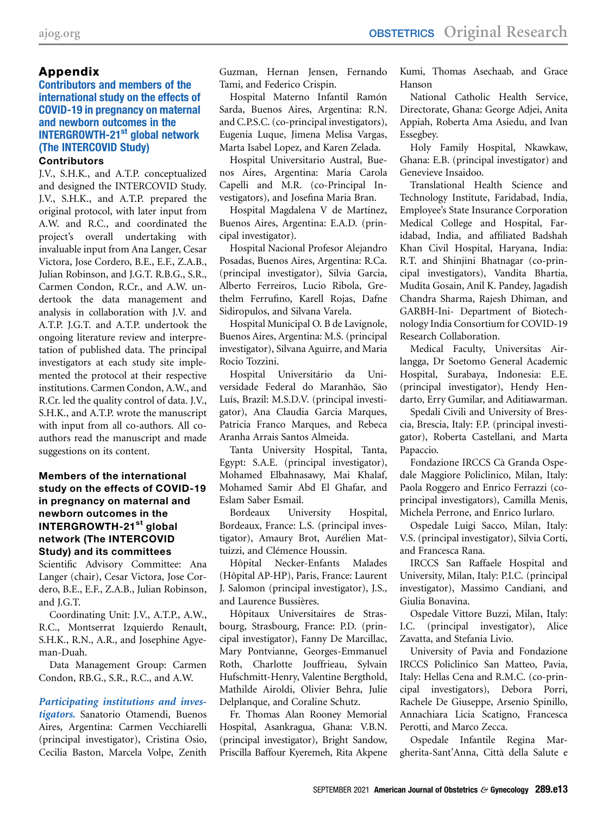# <span id="page-12-0"></span>Appendix

## Contributors and members of the international study on the effects of COVID-19 in pregnancy on maternal and newborn outcomes in the INTERGROWTH-21<sup>st</sup> global network (The INTERCOVID Study) **Contributors**

J.V., S.H.K., and A.T.P. conceptualized and designed the INTERCOVID Study. J.V., S.H.K., and A.T.P. prepared the original protocol, with later input from A.W. and R.C., and coordinated the project's overall undertaking with invaluable input from Ana Langer, Cesar Victora, Jose Cordero, B.E., E.F., Z.A.B., Julian Robinson, and J.G.T. R.B.G., S.R., Carmen Condon, R.Cr., and A.W. undertook the data management and analysis in collaboration with J.V. and A.T.P. J.G.T. and A.T.P. undertook the ongoing literature review and interpretation of published data. The principal investigators at each study site implemented the protocol at their respective institutions. Carmen Condon, A.W., and R.Cr. led the quality control of data. J.V., S.H.K., and A.T.P. wrote the manuscript with input from all co-authors. All coauthors read the manuscript and made suggestions on its content.

## Members of the international study on the effects of COVID-19 in pregnancy on maternal and newborn outcomes in the INTERGROWTH-21st global network (The INTERCOVID Study) and its committees

Scientific Advisory Committee: Ana Langer (chair), Cesar Victora, Jose Cordero, B.E., E.F., Z.A.B., Julian Robinson, and J.G.T.

Coordinating Unit: J.V., A.T.P., A.W., R.C., Montserrat Izquierdo Renault, S.H.K., R.N., A.R., and Josephine Agyeman-Duah.

Data Management Group: Carmen Condon, RB.G., S.R., R.C., and A.W.

## Participating institutions and investigators. Sanatorio Otamendi, Buenos Aires, Argentina: Carmen Vecchiarelli (principal investigator), Cristina Osio, Cecilia Baston, Marcela Volpe, Zenith

Guzman, Hernan Jensen, Fernando Tami, and Federico Crispin.

Hospital Materno Infantil Ramón Sarda, Buenos Aires, Argentina: R.N. and C.P.S.C. (co-principal investigators), Eugenia Luque, Jimena Melisa Vargas, Marta Isabel Lopez, and Karen Zelada.

Hospital Universitario Austral, Buenos Aires, Argentina: Maria Carola Capelli and M.R. (co-Principal Investigators), and Josefina Maria Bran.

Hospital Magdalena V de Martinez, Buenos Aires, Argentina: E.A.D. (principal investigator).

Hospital Nacional Profesor Alejandro Posadas, Buenos Aires, Argentina: R.Ca. (principal investigator), Silvia Garcia, Alberto Ferreiros, Lucio Ribola, Grethelm Ferrufino, Karell Rojas, Dafne Sidiropulos, and Silvana Varela.

Hospital Municipal O. B de Lavignole, Buenos Aires, Argentina: M.S. (principal investigator), Silvana Aguirre, and Maria Rocio Tozzini.

Hospital Universitário da Universidade Federal do Maranhão, São Luís, Brazil: M.S.D.V. (principal investigator), Ana Claudia Garcia Marques, Patricia Franco Marques, and Rebeca Aranha Arrais Santos Almeida.

Tanta University Hospital, Tanta, Egypt: S.A.E. (principal investigator), Mohamed Elbahnasawy, Mai Khalaf, Mohamed Samir Abd El Ghafar, and Eslam Saber Esmail.

Bordeaux University Hospital, Bordeaux, France: L.S. (principal investigator), Amaury Brot, Aurélien Mattuizzi, and Clémence Houssin.

Hôpital Necker-Enfants Malades (Hôpital AP-HP), Paris, France: Laurent J. Salomon (principal investigator), J.S., and Laurence Bussières.

Hôpitaux Universitaires de Strasbourg, Strasbourg, France: P.D. (principal investigator), Fanny De Marcillac, Mary Pontvianne, Georges-Emmanuel Roth, Charlotte Jouffrieau, Sylvain Hufschmitt-Henry, Valentine Bergthold, Mathilde Airoldi, Olivier Behra, Julie Delplanque, and Coraline Schutz.

Fr. Thomas Alan Rooney Memorial Hospital, Asankragua, Ghana: V.B.N. (principal investigator), Bright Sandow, Priscilla Baffour Kyeremeh, Rita Akpene Kumi, Thomas Asechaab, and Grace Hanson

National Catholic Health Service, Directorate, Ghana: George Adjei, Anita Appiah, Roberta Ama Asiedu, and Ivan Essegbey.

Holy Family Hospital, Nkawkaw, Ghana: E.B. (principal investigator) and Genevieve Insaidoo.

Translational Health Science and Technology Institute, Faridabad, India, Employee's State Insurance Corporation Medical College and Hospital, Faridabad, India, and affiliated Badshah Khan Civil Hospital, Haryana, India: R.T. and Shinjini Bhatnagar (co-principal investigators), Vandita Bhartia, Mudita Gosain, Anil K. Pandey, Jagadish Chandra Sharma, Rajesh Dhiman, and GARBH-Ini- Department of Biotechnology India Consortium for COVID-19 Research Collaboration.

Medical Faculty, Universitas Airlangga, Dr Soetomo General Academic Hospital, Surabaya, Indonesia: E.E. (principal investigator), Hendy Hendarto, Erry Gumilar, and Aditiawarman.

Spedali Civili and University of Brescia, Brescia, Italy: F.P. (principal investigator), Roberta Castellani, and Marta Papaccio.

Fondazione IRCCS Cà Granda Ospedale Maggiore Policlinico, Milan, Italy: Paola Roggero and Enrico Ferrazzi (coprincipal investigators), Camilla Menis, Michela Perrone, and Enrico Iurlaro.

Ospedale Luigi Sacco, Milan, Italy: V.S. (principal investigator), Silvia Corti, and Francesca Rana.

IRCCS San Raffaele Hospital and University, Milan, Italy: P.I.C. (principal investigator), Massimo Candiani, and Giulia Bonavina.

Ospedale Vittore Buzzi, Milan, Italy: I.C. (principal investigator), Alice Zavatta, and Stefania Livio.

University of Pavia and Fondazione IRCCS Policlinico San Matteo, Pavia, Italy: Hellas Cena and R.M.C. (co-principal investigators), Debora Porri, Rachele De Giuseppe, Arsenio Spinillo, Annachiara Licia Scatigno, Francesca Perotti, and Marco Zecca.

Ospedale Infantile Regina Margherita-Sant'Anna, Città della Salute e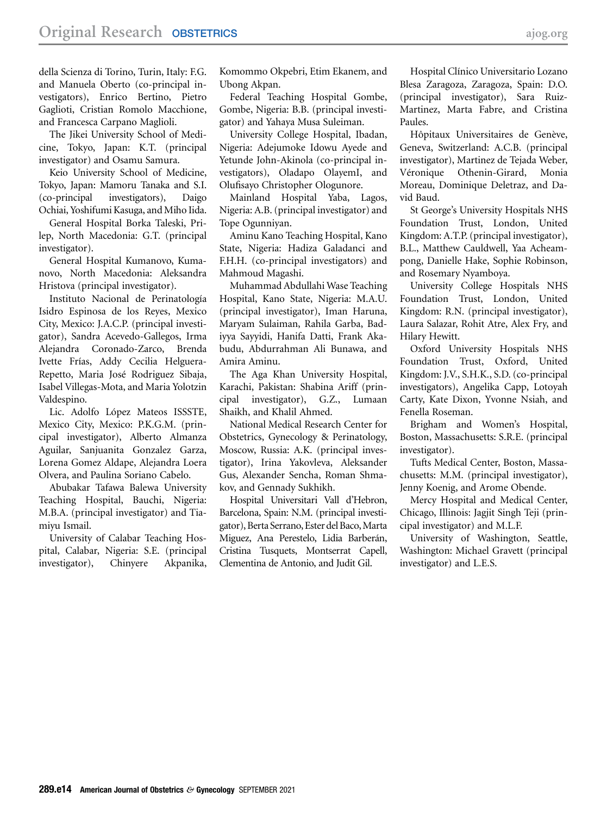della Scienza di Torino, Turin, Italy: F.G. and Manuela Oberto (co-principal investigators), Enrico Bertino, Pietro Gaglioti, Cristian Romolo Macchione, and Francesca Carpano Maglioli.

The Jikei University School of Medicine, Tokyo, Japan: K.T. (principal investigator) and Osamu Samura.

Keio University School of Medicine, Tokyo, Japan: Mamoru Tanaka and S.I. (co-principal investigators), Daigo Ochiai, Yoshifumi Kasuga, and Miho Iida.

General Hospital Borka Taleski, Prilep, North Macedonia: G.T. (principal investigator).

General Hospital Kumanovo, Kumanovo, North Macedonia: Aleksandra Hristova (principal investigator).

Instituto Nacional de Perinatología Isidro Espinosa de los Reyes, Mexico City, Mexico: J.A.C.P. (principal investigator), Sandra Acevedo-Gallegos, Irma Alejandra Coronado-Zarco, Brenda Ivette Frías, Addy Cecilia Helguera-Repetto, Maria José Rodriguez Sibaja, Isabel Villegas-Mota, and Maria Yolotzin Valdespino.

Lic. Adolfo López Mateos ISSSTE, Mexico City, Mexico: P.K.G.M. (principal investigator), Alberto Almanza Aguilar, Sanjuanita Gonzalez Garza, Lorena Gomez Aldape, Alejandra Loera Olvera, and Paulina Soriano Cabelo.

Abubakar Tafawa Balewa University Teaching Hospital, Bauchi, Nigeria: M.B.A. (principal investigator) and Tiamiyu Ismail.

University of Calabar Teaching Hospital, Calabar, Nigeria: S.E. (principal investigator), Chinyere Akpanika, Komommo Okpebri, Etim Ekanem, and Ubong Akpan.

Federal Teaching Hospital Gombe, Gombe, Nigeria: B.B. (principal investigator) and Yahaya Musa Suleiman.

University College Hospital, Ibadan, Nigeria: Adejumoke Idowu Ayede and Yetunde John-Akinola (co-principal investigators), Oladapo OlayemI, and Olufisayo Christopher Ologunore.

Mainland Hospital Yaba, Lagos, Nigeria: A.B. (principal investigator) and Tope Ogunniyan.

Aminu Kano Teaching Hospital, Kano State, Nigeria: Hadiza Galadanci and F.H.H. (co-principal investigators) and Mahmoud Magashi.

Muhammad Abdullahi Wase Teaching Hospital, Kano State, Nigeria: M.A.U. (principal investigator), Iman Haruna, Maryam Sulaiman, Rahila Garba, Badiyya Sayyidi, Hanifa Datti, Frank Akabudu, Abdurrahman Ali Bunawa, and Amira Aminu.

The Aga Khan University Hospital, Karachi, Pakistan: Shabina Ariff (principal investigator), G.Z., Lumaan Shaikh, and Khalil Ahmed.

National Medical Research Center for Obstetrics, Gynecology & Perinatology, Moscow, Russia: A.K. (principal investigator), Irina Yakovleva, Aleksander Gus, Alexander Sencha, Roman Shmakov, and Gennady Sukhikh.

Hospital Universitari Vall d'Hebron, Barcelona, Spain: N.M. (principal investigator), Berta Serrano, Ester del Baco, Marta Miguez, Ana Perestelo, Lidia Barberán, Cristina Tusquets, Montserrat Capell, Clementina de Antonio, and Judit Gil.

Hospital Clínico Universitario Lozano Blesa Zaragoza, Zaragoza, Spain: D.O. (principal investigator), Sara Ruiz-Martinez, Marta Fabre, and Cristina Paules.

Hôpitaux Universitaires de Genève, Geneva, Switzerland: A.C.B. (principal investigator), Martinez de Tejada Weber, Véronique Othenin-Girard, Monia Moreau, Dominique Deletraz, and David Baud.

St George's University Hospitals NHS Foundation Trust, London, United Kingdom: A.T.P. (principal investigator), B.L., Matthew Cauldwell, Yaa Acheampong, Danielle Hake, Sophie Robinson, and Rosemary Nyamboya.

University College Hospitals NHS Foundation Trust, London, United Kingdom: R.N. (principal investigator), Laura Salazar, Rohit Atre, Alex Fry, and Hilary Hewitt.

Oxford University Hospitals NHS Foundation Trust, Oxford, United Kingdom: J.V., S.H.K., S.D. (co-principal investigators), Angelika Capp, Lotoyah Carty, Kate Dixon, Yvonne Nsiah, and Fenella Roseman.

Brigham and Women's Hospital, Boston, Massachusetts: S.R.E. (principal investigator).

Tufts Medical Center, Boston, Massachusetts: M.M. (principal investigator), Jenny Koenig, and Arome Obende.

Mercy Hospital and Medical Center, Chicago, Illinois: Jagjit Singh Teji (principal investigator) and M.L.F.

University of Washington, Seattle, Washington: Michael Gravett (principal investigator) and L.E.S.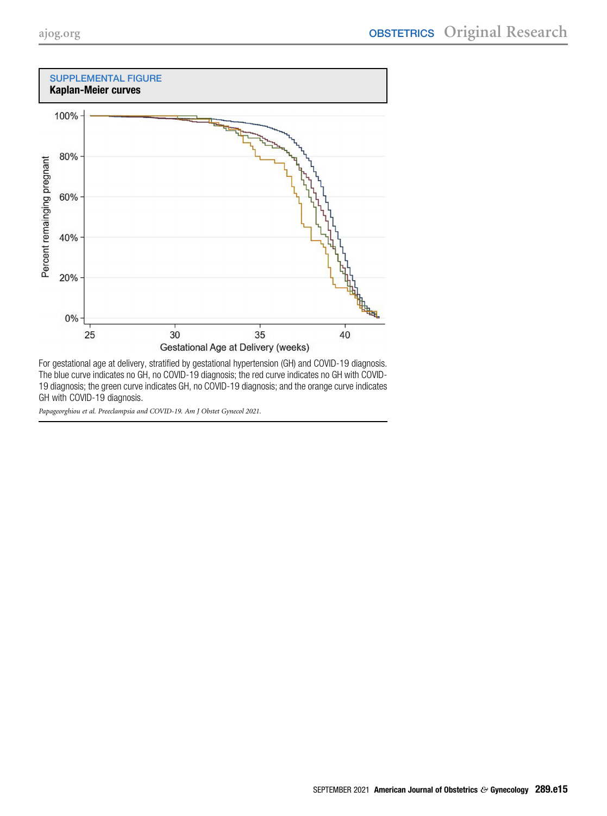<span id="page-14-0"></span>

For gestational age at delivery, stratified by gestational hypertension (GH) and COVID-19 diagnosis. The blue curve indicates no GH, no COVID-19 diagnosis; the red curve indicates no GH with COVID-19 diagnosis; the green curve indicates GH, no COVID-19 diagnosis; and the orange curve indicates GH with COVID-19 diagnosis.

Papageorghiou et al. Preeclampsia and COVID-19. Am J Obstet Gynecol 2021.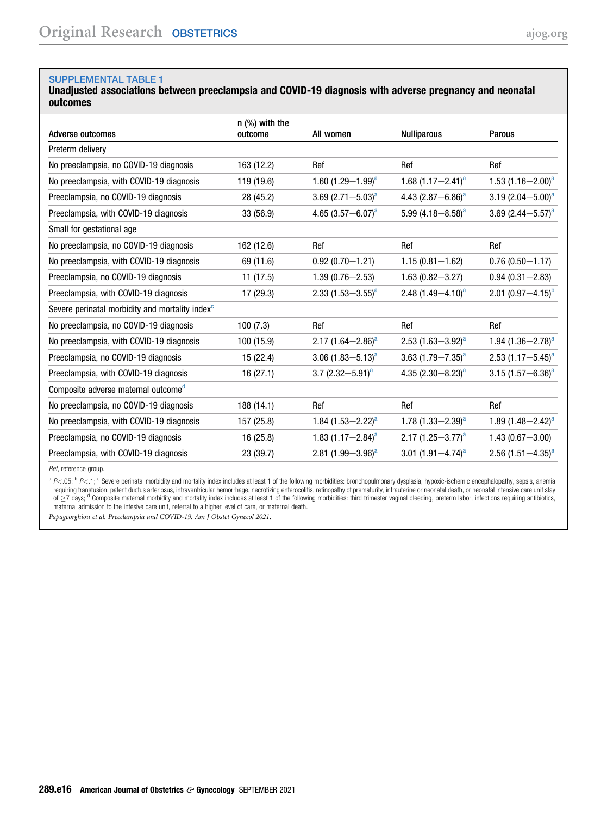#### <span id="page-15-0"></span>SUPPLEMENTAL TABLE 1

Unadjusted associations between preeclampsia and COVID-19 diagnosis with adverse pregnancy and neonatal outcomes

| Adverse outcomes                                            | $n$ (%) with the<br>outcome | All women              | <b>Nulliparous</b>     | <b>Parous</b>            |
|-------------------------------------------------------------|-----------------------------|------------------------|------------------------|--------------------------|
| Preterm delivery                                            |                             |                        |                        |                          |
| No preeclampsia, no COVID-19 diagnosis                      | 163 (12.2)                  | Ref                    | Ref                    | Ref                      |
| No preeclampsia, with COVID-19 diagnosis                    | 119 (19.6)                  | 1.60 $(1.29 - 1.99)^a$ | 1.68 $(1.17 - 2.41)^a$ | 1.53 $(1.16 - 2.00)^a$   |
| Preeclampsia, no COVID-19 diagnosis                         | 28 (45.2)                   | 3.69 $(2.71 - 5.03)^a$ | 4.43 $(2.87 - 6.86)^a$ | 3.19 $(2.04 - 5.00)^a$   |
| Preeclampsia, with COVID-19 diagnosis                       | 33 (56.9)                   | 4.65 $(3.57 - 6.07)^a$ | 5.99 $(4.18 - 8.58)^a$ | 3.69 $(2.44 - 5.57)^a$   |
| Small for gestational age                                   |                             |                        |                        |                          |
| No preeclampsia, no COVID-19 diagnosis                      | 162 (12.6)                  | Ref                    | Ref                    | Ref                      |
| No preeclampsia, with COVID-19 diagnosis                    | 69 (11.6)                   | $0.92(0.70 - 1.21)$    | $1.15(0.81 - 1.62)$    | $0.76(0.50 - 1.17)$      |
| Preeclampsia, no COVID-19 diagnosis                         | 11(17.5)                    | $1.39(0.76 - 2.53)$    | $1.63(0.82 - 3.27)$    | $0.94(0.31 - 2.83)$      |
| Preeclampsia, with COVID-19 diagnosis                       | 17(29.3)                    | 2.33 $(1.53 - 3.55)^a$ | 2.48 $(1.49 - 4.10)^a$ | 2.01 $(0.97 - 4.15)^b$   |
| Severe perinatal morbidity and mortality index <sup>c</sup> |                             |                        |                        |                          |
| No preeclampsia, no COVID-19 diagnosis                      | 100(7.3)                    | Ref                    | Ref                    | Ref                      |
| No preeclampsia, with COVID-19 diagnosis                    | 100 (15.9)                  | 2.17 $(1.64 - 2.86)^a$ | 2.53 $(1.63 - 3.92)^a$ | 1.94 $(1.36 - 2.78)^a$   |
| Preeclampsia, no COVID-19 diagnosis                         | 15(22.4)                    | 3.06 $(1.83 - 5.13)^a$ | 3.63 $(1.79 - 7.35)^a$ | 2.53 $(1.17 - 5.45)^a$   |
| Preeclampsia, with COVID-19 diagnosis                       | 16(27.1)                    | 3.7 $(2.32 - 5.91)^a$  | 4.35 $(2.30-8.23)^a$   | 3.15 $(1.57 - 6.36)^a$   |
| Composite adverse maternal outcome <sup>d</sup>             |                             |                        |                        |                          |
| No preeclampsia, no COVID-19 diagnosis                      | 188 (14.1)                  | Ref                    | Ref                    | Ref                      |
| No preeclampsia, with COVID-19 diagnosis                    | 157 (25.8)                  | 1.84 $(1.53 - 2.22)^a$ | 1.78 $(1.33 - 2.39)^a$ | 1.89 $(1.48 - 2.42)^a$   |
| Preeclampsia, no COVID-19 diagnosis                         | 16(25.8)                    | 1.83 $(1.17 - 2.84)^a$ | 2.17 $(1.25 - 3.77)^a$ | $1.43(0.67 - 3.00)$      |
| Preeclampsia, with COVID-19 diagnosis                       | 23 (39.7)                   | 2.81 $(1.99 - 3.96)^a$ | 3.01 $(1.91 - 4.74)^a$ | 2.56 $(1.51 - 4.35)^{a}$ |

Ref, reference group.

<span id="page-15-2"></span><span id="page-15-1"></span> $a P < 05$ ;  $b P < 1$ ;  $c$  Severe perinatal morbidity and mortality index includes at least 1 of the following morbidities: bronchopulmonary dysplasia, hypoxic-ischemic encephalopathy, sepsis, anemia requiring transfusion, patent ductus arteriosus, intraventricular hemorrhage, necrotizing enterocolitis, retinopathy of prematurity, intrauterine or neonatal death, or neonatal intensive care unit stay of  $\geq$ 7 days; <sup>d</sup> Composite maternal morbidity and mortality index includes at least 1 of the following morbidities: third trimester vaginal bleeding, preterm labor, infections requiring antibiotics, maternal admission to the intesive care unit, referral to a higher level of care, or maternal death.

Papageorghiou et al. Preeclampsia and COVID-19. Am J Obstet Gynecol 2021.